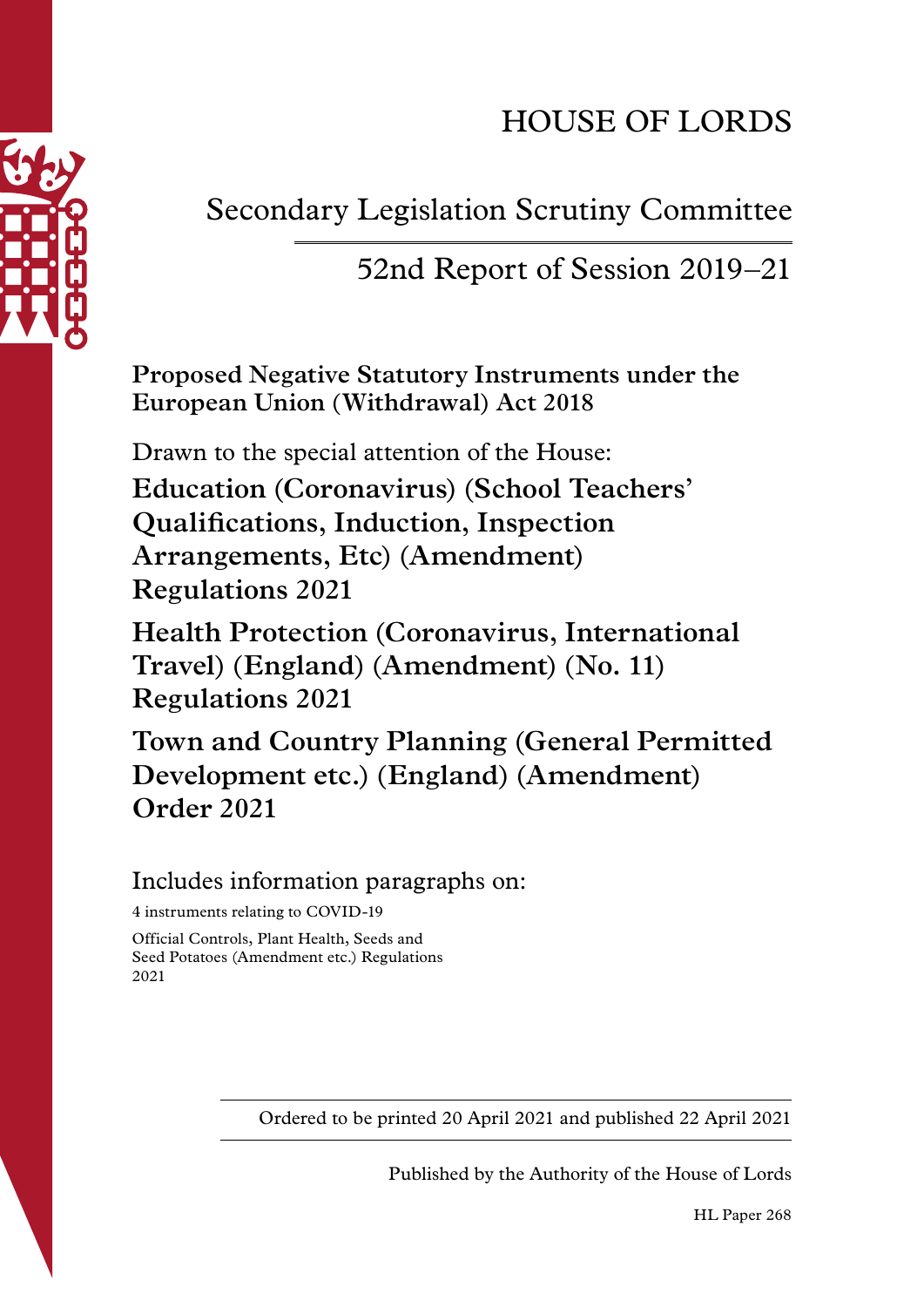

Secondary Legislation Scrutiny Committee

## 52nd Report of Session 2019–21

**Proposed Negative Statutory Instruments under the European Union (Withdrawal) Act 2018**

Drawn to the special attention of the House: **Education (Coronavirus) (School Teachers' Qualifications, Induction, Inspection Arrangements, Etc) (Amendment) Regulations 2021**

**Health Protection (Coronavirus, International Travel) (England) (Amendment) (No. 11) Regulations 2021**

**Town and Country Planning (General Permitted Development etc.) (England) (Amendment) Order 2021**

Includes information paragraphs on:

4 instruments relating to COVID-19

Official Controls, Plant Health, Seeds and Seed Potatoes (Amendment etc.) Regulations 2021

Ordered to be printed 20 April 2021 and published 22 April 2021

Published by the Authority of the House of Lords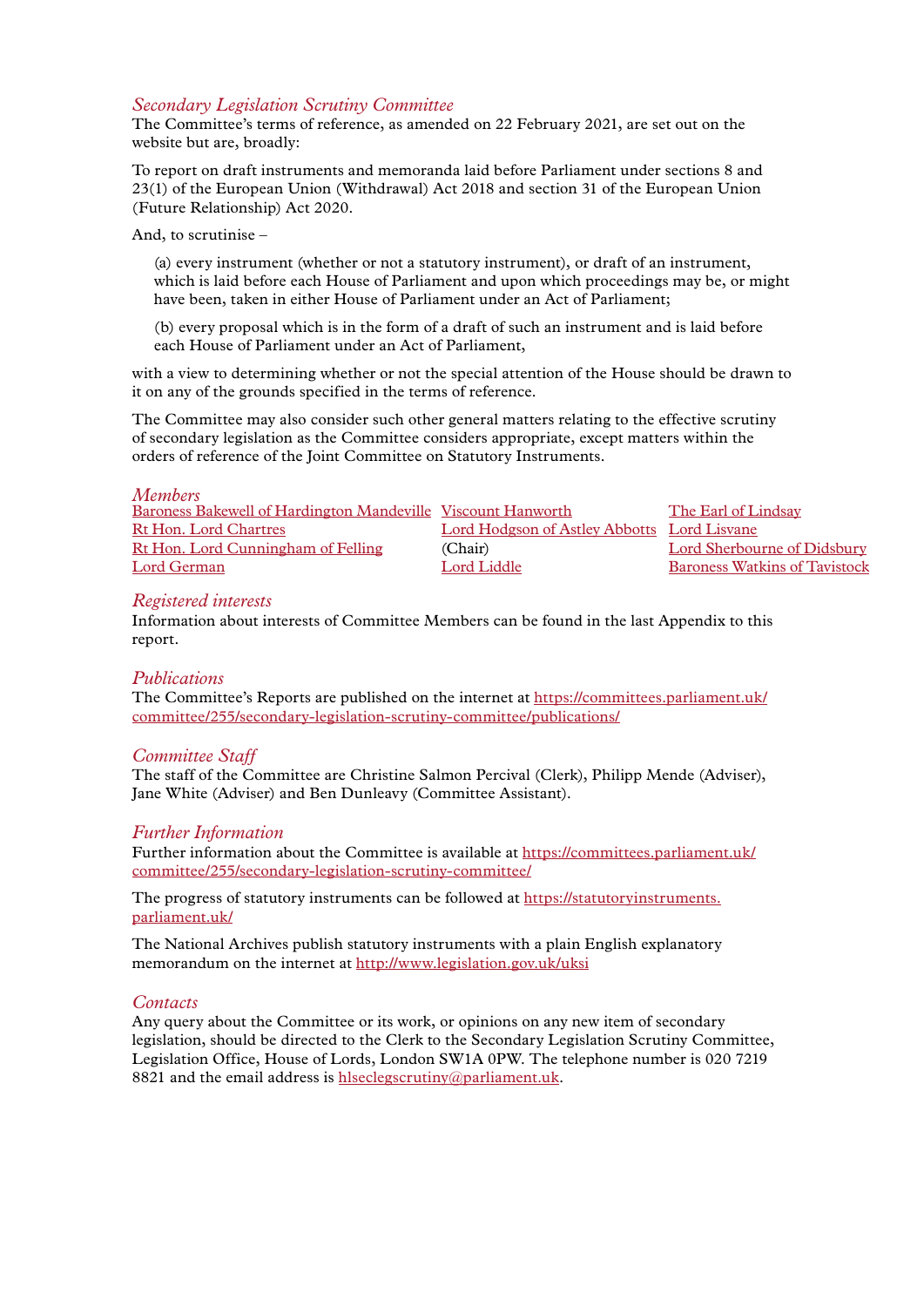#### *Secondary Legislation Scrutiny Committee*

The Committee's terms of reference, as amended on 22 February 2021, are set out on the website but are, broadly:

To report on draft instruments and memoranda laid before Parliament under sections 8 and 23(1) of the European Union (Withdrawal) Act 2018 and section 31 of the European Union (Future Relationship) Act 2020.

And, to scrutinise –

(a) every instrument (whether or not a statutory instrument), or draft of an instrument, which is laid before each House of Parliament and upon which proceedings may be, or might have been, taken in either House of Parliament under an Act of Parliament;

(b) every proposal which is in the form of a draft of such an instrument and is laid before each House of Parliament under an Act of Parliament,

with a view to determining whether or not the special attention of the House should be drawn to it on any of the grounds specified in the terms of reference.

The Committee may also consider such other general matters relating to the effective scrutiny of secondary legislation as the Committee considers appropriate, except matters within the orders of reference of the Joint Committee on Statutory Instruments.

*Members*

[Baroness Bakewell of Hardington Mandeville](https://members.parliament.uk/member/4285/contact) [Viscount Hanworth](https://members.parliament.uk/member/2648/contact) [The Earl of Lindsay](https://members.parliament.uk/member/2059/contact) [Rt Hon. Lord Chartres](https://members.parliament.uk/member/1946/contact) **[Lord Hodgson of Astley Abbotts](https://members.parliament.uk/member/1651/contact)** [Lord Lisvane](https://members.parliament.uk/member/4351/contact) [Rt Hon. Lord Cunningham of Felling](https://members.parliament.uk/member/496/contact) (Chair) Chair [Lord Sherbourne of Didsbury](https://members.parliament.uk/member/4287/contact) [Lord German](https://members.parliament.uk/member/4163/contact) [Lord Liddle](https://members.parliament.uk/member/4156/contact) Baroness Watkins of Tavistock

#### *Registered interests*

Information about interests of Committee Members can be found in the last Appendix to this report.

#### *Publications*

The Committee's Reports are published on the internet at https://committees.parliament.uk/ committee/255/secondary-legislation-scrutiny-committee/publications/

#### *Committee Staff*

The staff of the Committee are Christine Salmon Percival (Clerk), Philipp Mende (Adviser), Jane White (Adviser) and Ben Dunleavy (Committee Assistant).

#### *Further Information*

Further information about the Committee is available at https://committees.parliament.uk/ committee/255/secondary-legislation-scrutiny-committee/

The progress of statutory instruments can be followed at [https://statutoryinstruments.](https://statutoryinstruments.parliament.uk/) [parliament.uk/](https://statutoryinstruments.parliament.uk/)

The National Archives publish statutory instruments with a plain English explanatory memorandum on the internet at<http://www.legislation.gov.uk/uksi>

#### *Contacts*

Any query about the Committee or its work, or opinions on any new item of secondary legislation, should be directed to the Clerk to the Secondary Legislation Scrutiny Committee, Legislation Office, House of Lords, London SW1A 0PW. The telephone number is 020 7219 8821 and the email address is [hlseclegscrutiny@parliament.uk](mailto:hlseclegscrutiny%40parliament.uk?subject=).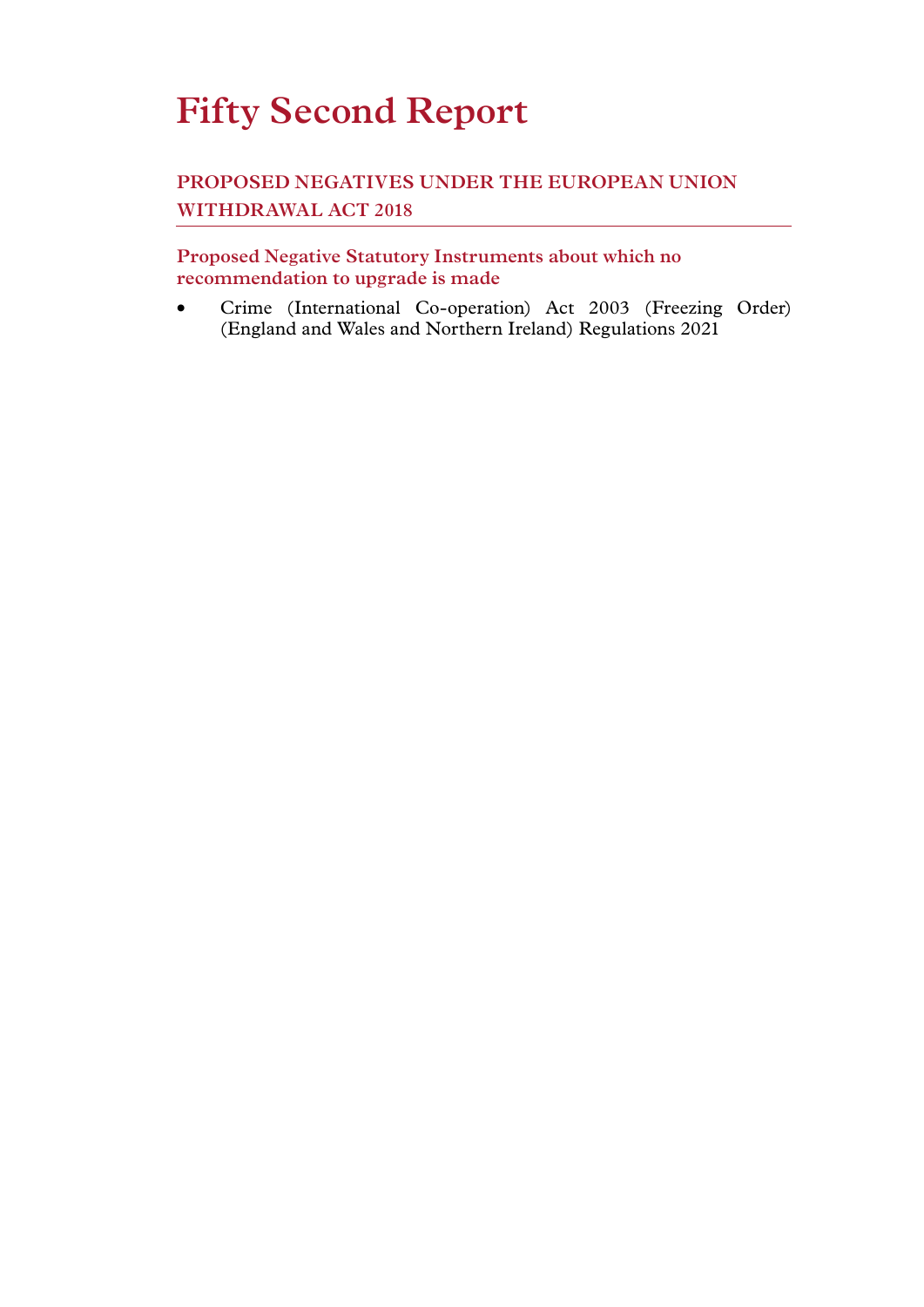# **Fifty Second Report**

**PROPOSED NEGATIVES UNDER THE EUROPEAN UNION WITHDRAWAL ACT 2018**

**Proposed Negative Statutory Instruments about which no recommendation to upgrade is made**

• Crime (International Co-operation) Act 2003 (Freezing Order) (England and Wales and Northern Ireland) Regulations 2021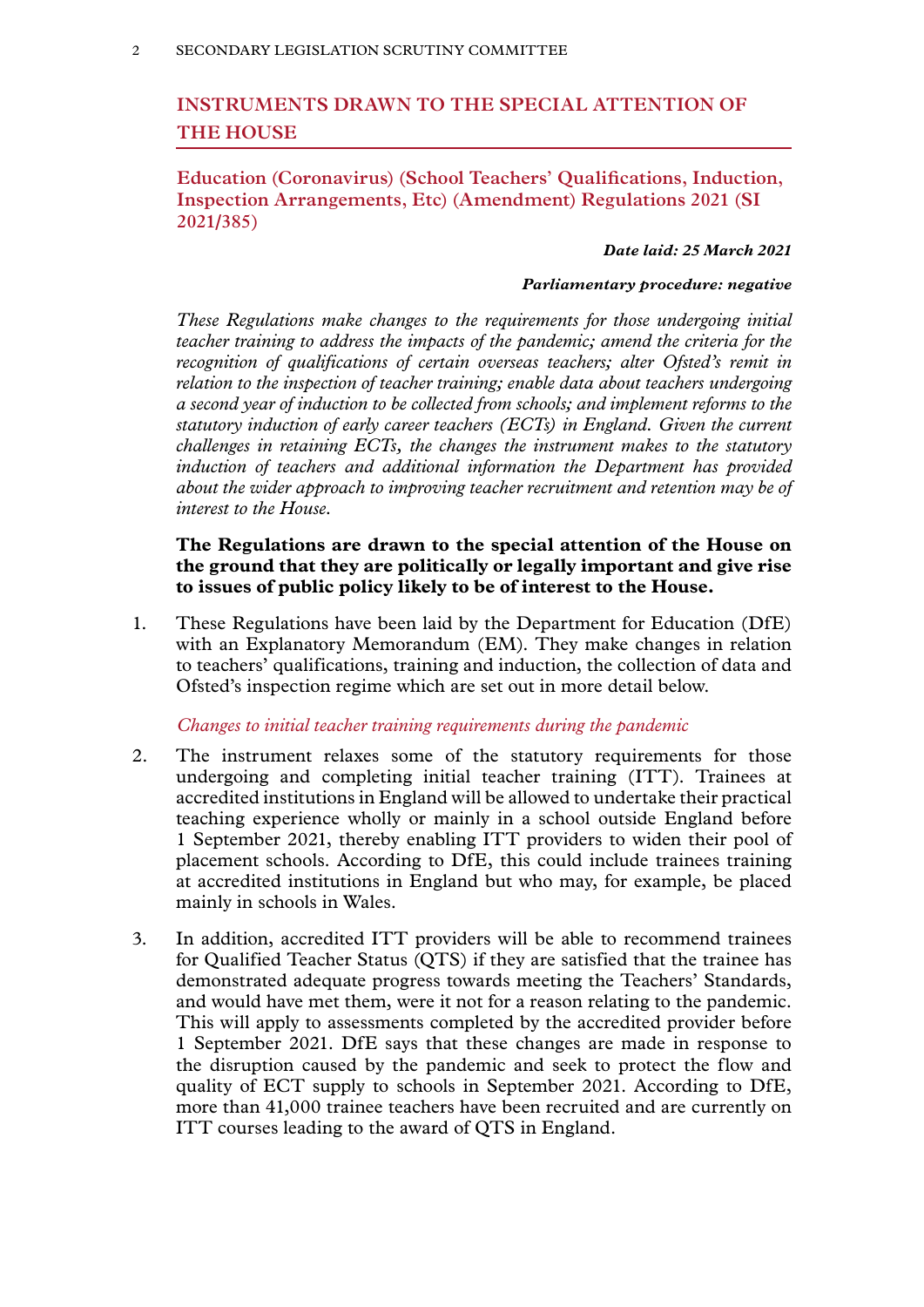## **INSTRUMENTS DRAWN TO THE SPECIAL ATTENTION OF THE HOUSE**

**Education (Coronavirus) (School Teachers' Qualifications, Induction, Inspection Arrangements, Etc) (Amendment) Regulations 2021 (SI 2021/385)**

#### *Date laid: 25 March 2021*

#### *Parliamentary procedure: negative*

*These Regulations make changes to the requirements for those undergoing initial teacher training to address the impacts of the pandemic; amend the criteria for the recognition of qualifications of certain overseas teachers; alter Ofsted's remit in relation to the inspection of teacher training; enable data about teachers undergoing a second year of induction to be collected from schools; and implement reforms to the statutory induction of early career teachers (ECTs) in England. Given the current challenges in retaining ECTs, the changes the instrument makes to the statutory induction of teachers and additional information the Department has provided about the wider approach to improving teacher recruitment and retention may be of interest to the House.*

#### **The Regulations are drawn to the special attention of the House on the ground that they are politically or legally important and give rise to issues of public policy likely to be of interest to the House.**

1. These Regulations have been laid by the Department for Education (DfE) with an Explanatory Memorandum (EM). They make changes in relation to teachers' qualifications, training and induction, the collection of data and Ofsted's inspection regime which are set out in more detail below.

#### *Changes to initial teacher training requirements during the pandemic*

- 2. The instrument relaxes some of the statutory requirements for those undergoing and completing initial teacher training (ITT). Trainees at accredited institutions in England will be allowed to undertake their practical teaching experience wholly or mainly in a school outside England before 1 September 2021, thereby enabling ITT providers to widen their pool of placement schools. According to DfE, this could include trainees training at accredited institutions in England but who may, for example, be placed mainly in schools in Wales.
- 3. In addition, accredited ITT providers will be able to recommend trainees for Qualified Teacher Status (QTS) if they are satisfied that the trainee has demonstrated adequate progress towards meeting the Teachers' Standards, and would have met them, were it not for a reason relating to the pandemic. This will apply to assessments completed by the accredited provider before 1 September 2021. DfE says that these changes are made in response to the disruption caused by the pandemic and seek to protect the flow and quality of ECT supply to schools in September 2021. According to DfE, more than 41,000 trainee teachers have been recruited and are currently on ITT courses leading to the award of QTS in England.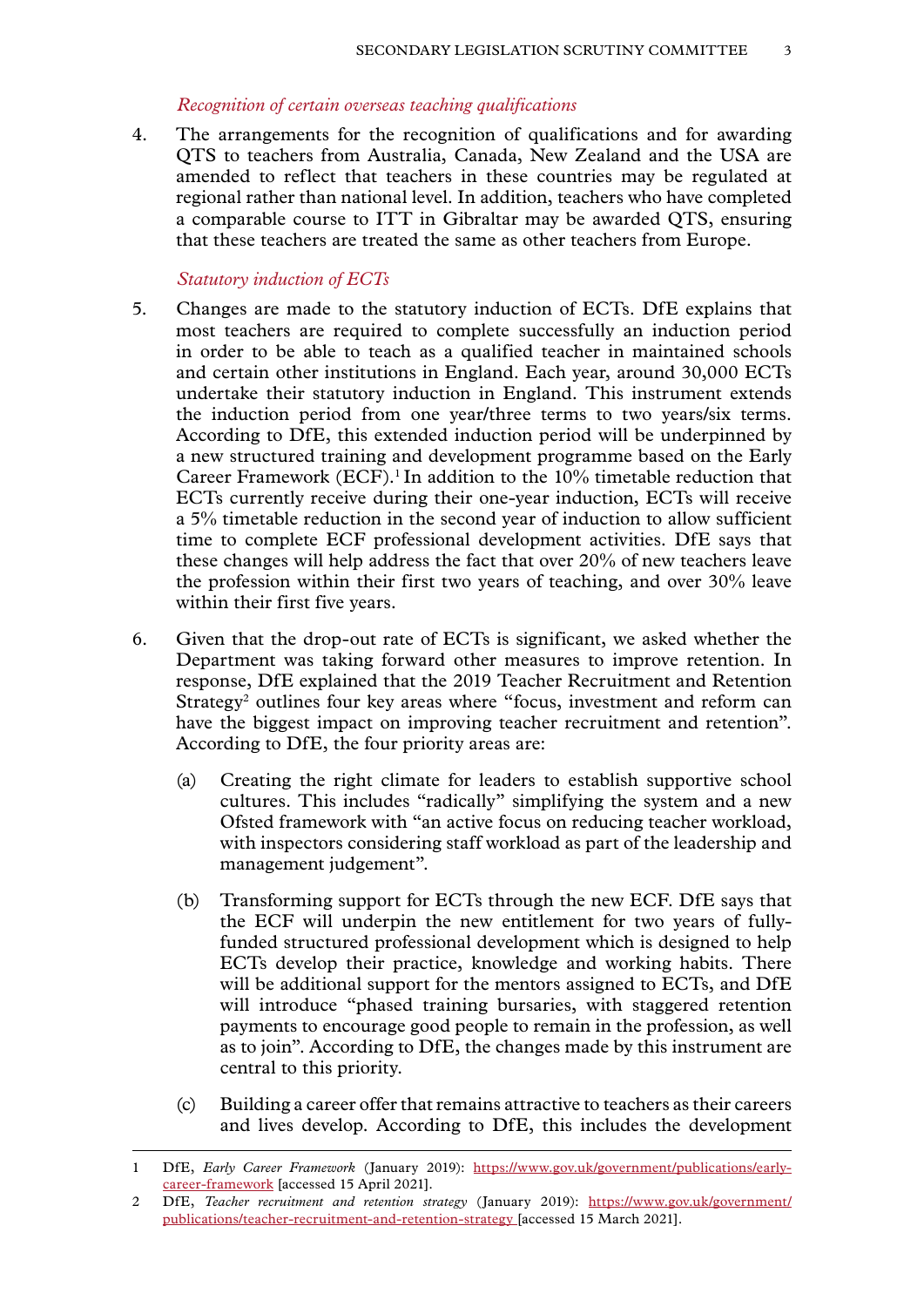#### *Recognition of certain overseas teaching qualifications*

4. The arrangements for the recognition of qualifications and for awarding QTS to teachers from Australia, Canada, New Zealand and the USA are amended to reflect that teachers in these countries may be regulated at regional rather than national level. In addition, teachers who have completed a comparable course to ITT in Gibraltar may be awarded QTS, ensuring that these teachers are treated the same as other teachers from Europe.

#### *Statutory induction of ECTs*

- 5. Changes are made to the statutory induction of ECTs. DfE explains that most teachers are required to complete successfully an induction period in order to be able to teach as a qualified teacher in maintained schools and certain other institutions in England. Each year, around 30,000 ECTs undertake their statutory induction in England. This instrument extends the induction period from one year/three terms to two years/six terms. According to DfE, this extended induction period will be underpinned by a new structured training and development programme based on the Early Career Framework (ECF).<sup>1</sup> In addition to the  $10\%$  timetable reduction that ECTs currently receive during their one-year induction, ECTs will receive a 5% timetable reduction in the second year of induction to allow sufficient time to complete ECF professional development activities. DfE says that these changes will help address the fact that over 20% of new teachers leave the profession within their first two years of teaching, and over 30% leave within their first five years.
- 6. Given that the drop-out rate of ECTs is significant, we asked whether the Department was taking forward other measures to improve retention. In response, DfE explained that the 2019 Teacher Recruitment and Retention Strategy<sup>2</sup> outlines four key areas where "focus, investment and reform can have the biggest impact on improving teacher recruitment and retention". According to DfE, the four priority areas are:
	- (a) Creating the right climate for leaders to establish supportive school cultures. This includes "radically" simplifying the system and a new Ofsted framework with "an active focus on reducing teacher workload, with inspectors considering staff workload as part of the leadership and management judgement".
	- (b) Transforming support for ECTs through the new ECF. DfE says that the ECF will underpin the new entitlement for two years of fullyfunded structured professional development which is designed to help ECTs develop their practice, knowledge and working habits. There will be additional support for the mentors assigned to ECTs, and DfE will introduce "phased training bursaries, with staggered retention payments to encourage good people to remain in the profession, as well as to join". According to DfE, the changes made by this instrument are central to this priority.
	- (c) Building a career offer that remains attractive to teachers as their careers and lives develop. According to DfE, this includes the development

<sup>1</sup> DfE, *Early Career Framework* (January 2019): [https://www.gov.uk/government/publications/early](https://www.gov.uk/government/publications/early-career-framework)[career-framework](https://www.gov.uk/government/publications/early-career-framework) [accessed 15 April 2021].

<sup>2</sup> DfE, *Teacher recruitment and retention strategy* (January 2019): [https://www.gov.uk/government/](https://www.gov.uk/government/publications/teacher-recruitment-and-retention-strategy) [publications/teacher-recruitment-and-retention-strategy](https://www.gov.uk/government/publications/teacher-recruitment-and-retention-strategy) [accessed 15 March 2021].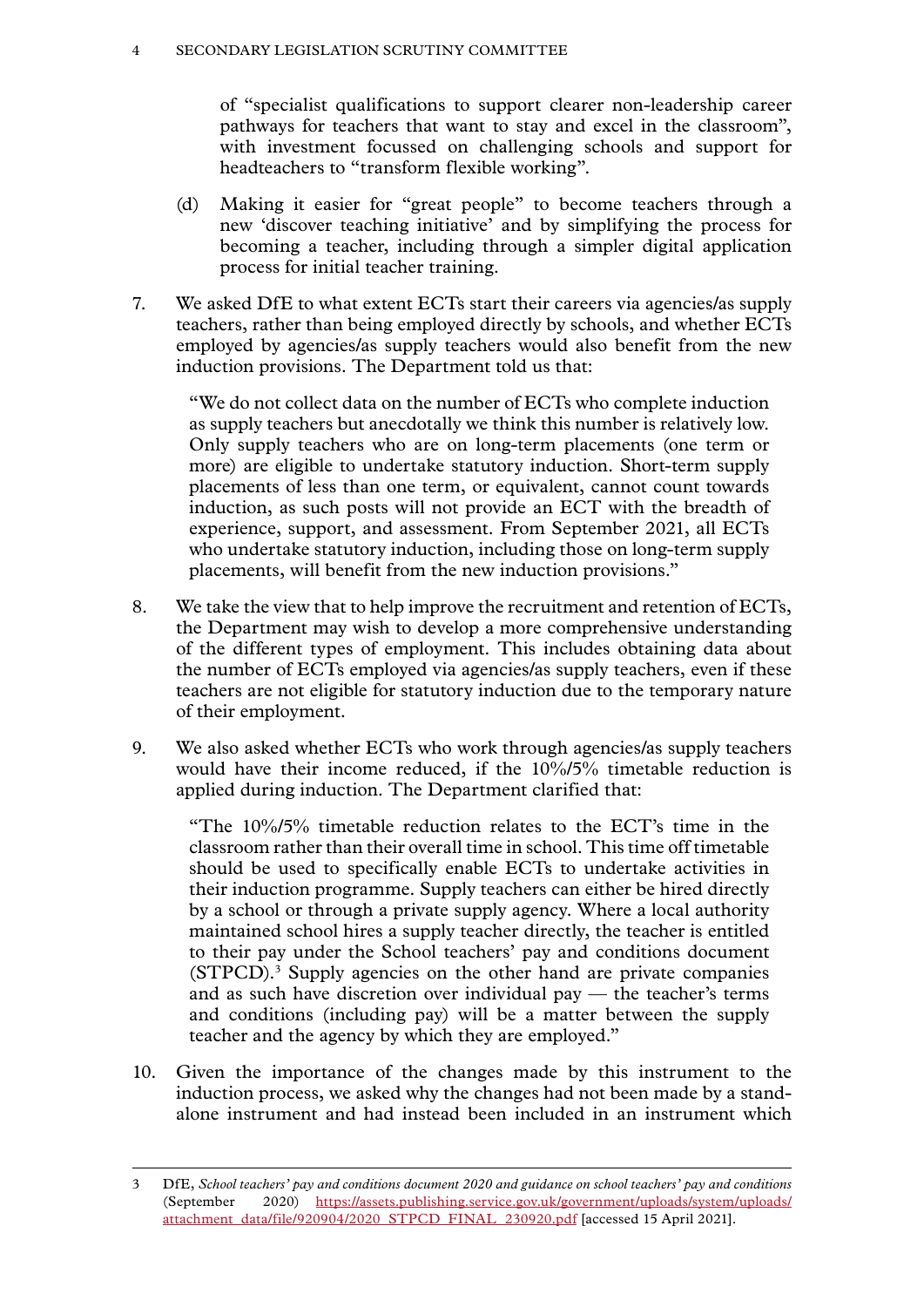of "specialist qualifications to support clearer non-leadership career pathways for teachers that want to stay and excel in the classroom", with investment focussed on challenging schools and support for headteachers to "transform flexible working".

- (d) Making it easier for "great people" to become teachers through a new 'discover teaching initiative' and by simplifying the process for becoming a teacher, including through a simpler digital application process for initial teacher training.
- 7. We asked DfE to what extent ECTs start their careers via agencies/as supply teachers, rather than being employed directly by schools, and whether ECTs employed by agencies/as supply teachers would also benefit from the new induction provisions. The Department told us that:

"We do not collect data on the number of ECTs who complete induction as supply teachers but anecdotally we think this number is relatively low. Only supply teachers who are on long-term placements (one term or more) are eligible to undertake statutory induction. Short-term supply placements of less than one term, or equivalent, cannot count towards induction, as such posts will not provide an ECT with the breadth of experience, support, and assessment. From September 2021, all ECTs who undertake statutory induction, including those on long-term supply placements, will benefit from the new induction provisions."

- 8. We take the view that to help improve the recruitment and retention of ECTs, the Department may wish to develop a more comprehensive understanding of the different types of employment. This includes obtaining data about the number of ECTs employed via agencies/as supply teachers, even if these teachers are not eligible for statutory induction due to the temporary nature of their employment.
- 9. We also asked whether ECTs who work through agencies/as supply teachers would have their income reduced, if the 10%/5% timetable reduction is applied during induction. The Department clarified that:

"The 10%/5% timetable reduction relates to the ECT's time in the classroom rather than their overall time in school. This time off timetable should be used to specifically enable ECTs to undertake activities in their induction programme. Supply teachers can either be hired directly by a school or through a private supply agency. Where a local authority maintained school hires a supply teacher directly, the teacher is entitled to their pay under the School teachers' pay and conditions document (STPCD).3 Supply agencies on the other hand are private companies and as such have discretion over individual pay  $-$  the teacher's terms and conditions (including pay) will be a matter between the supply teacher and the agency by which they are employed."

10. Given the importance of the changes made by this instrument to the induction process, we asked why the changes had not been made by a standalone instrument and had instead been included in an instrument which

<sup>3</sup> DfE, *School teachers' pay and conditions document 2020 and guidance on school teachers' pay and conditions*  (September 2020) [https://assets.publishing.service.gov.uk/government/uploads/system/uploads/](https://assets.publishing.service.gov.uk/government/uploads/system/uploads/attachment_data/file/920904/2020_STPCD_FINAL_230920.pdf) [attachment\\_data/file/920904/2020\\_STPCD\\_FINAL\\_230920.pdf](https://assets.publishing.service.gov.uk/government/uploads/system/uploads/attachment_data/file/920904/2020_STPCD_FINAL_230920.pdf) [accessed 15 April 2021].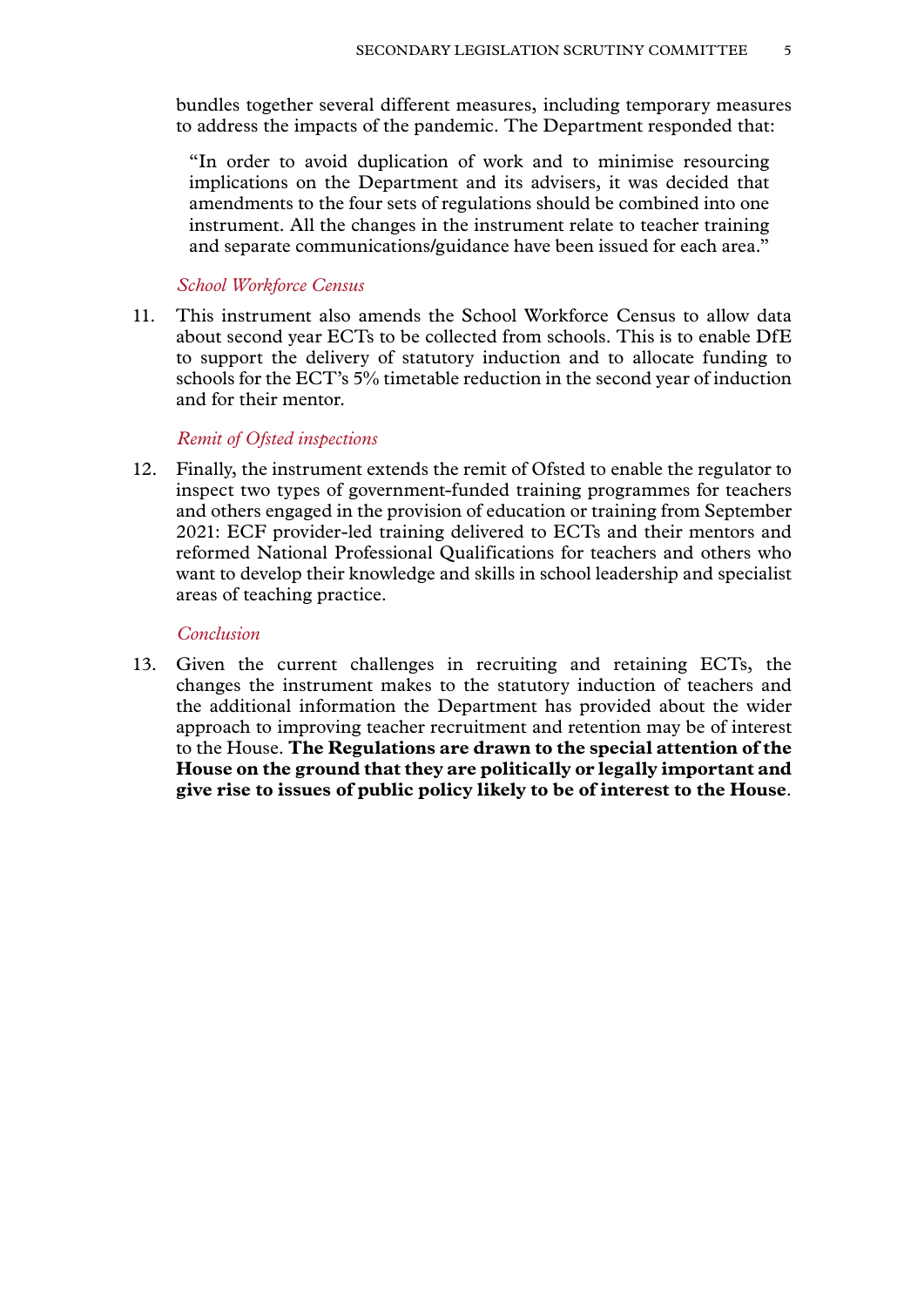bundles together several different measures, including temporary measures to address the impacts of the pandemic. The Department responded that:

"In order to avoid duplication of work and to minimise resourcing implications on the Department and its advisers, it was decided that amendments to the four sets of regulations should be combined into one instrument. All the changes in the instrument relate to teacher training and separate communications/guidance have been issued for each area."

#### *School Workforce Census*

11. This instrument also amends the School Workforce Census to allow data about second year ECTs to be collected from schools. This is to enable DfE to support the delivery of statutory induction and to allocate funding to schools for the ECT's 5% timetable reduction in the second year of induction and for their mentor.

#### *Remit of Ofsted inspections*

12. Finally, the instrument extends the remit of Ofsted to enable the regulator to inspect two types of government-funded training programmes for teachers and others engaged in the provision of education or training from September 2021: ECF provider-led training delivered to ECTs and their mentors and reformed National Professional Qualifications for teachers and others who want to develop their knowledge and skills in school leadership and specialist areas of teaching practice.

#### *Conclusion*

13. Given the current challenges in recruiting and retaining ECTs, the changes the instrument makes to the statutory induction of teachers and the additional information the Department has provided about the wider approach to improving teacher recruitment and retention may be of interest to the House. **The Regulations are drawn to the special attention of the House on the ground that they are politically or legally important and give rise to issues of public policy likely to be of interest to the House**.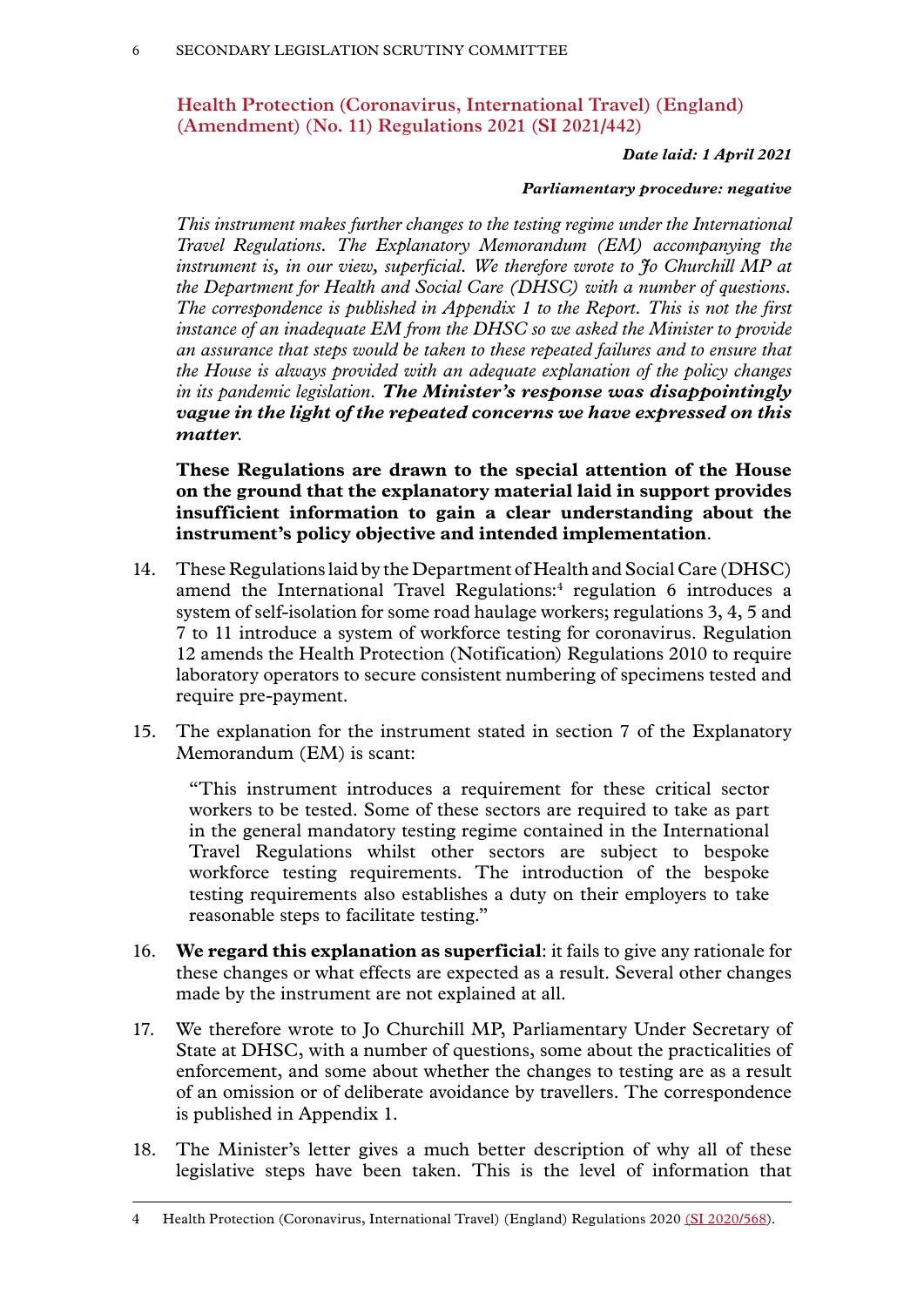## **Health Protection (Coronavirus, International Travel) (England) (Amendment) (No. 11) Regulations 2021 (SI 2021/442)**

#### *Date laid: 1 April 2021*

#### *Parliamentary procedure: negative*

*This instrument makes further changes to the testing regime under the International Travel Regulations. The Explanatory Memorandum (EM) accompanying the instrument is, in our view, superficial. We therefore wrote to Jo Churchill MP at the Department for Health and Social Care (DHSC) with a number of questions. The correspondence is published in Appendix 1 to the Report. This is not the first instance of an inadequate EM from the DHSC so we asked the Minister to provide an assurance that steps would be taken to these repeated failures and to ensure that the House is always provided with an adequate explanation of the policy changes in its pandemic legislation. The Minister's response was disappointingly vague in the light of the repeated concerns we have expressed on this matter.*

**These Regulations are drawn to the special attention of the House on the ground that the explanatory material laid in support provides insufficient information to gain a clear understanding about the instrument's policy objective and intended implementation**.

- 14. These Regulations laid by the Department of Health and Social Care (DHSC) amend the International Travel Regulations:<sup>4</sup> regulation 6 introduces a system of self-isolation for some road haulage workers; regulations 3, 4, 5 and 7 to 11 introduce a system of workforce testing for coronavirus. Regulation 12 amends the Health Protection (Notification) Regulations 2010 to require laboratory operators to secure consistent numbering of specimens tested and require pre-payment.
- 15. The explanation for the instrument stated in section 7 of the Explanatory Memorandum (EM) is scant:

"This instrument introduces a requirement for these critical sector workers to be tested. Some of these sectors are required to take as part in the general mandatory testing regime contained in the International Travel Regulations whilst other sectors are subject to bespoke workforce testing requirements. The introduction of the bespoke testing requirements also establishes a duty on their employers to take reasonable steps to facilitate testing."

- 16. **We regard this explanation as superficial**: it fails to give any rationale for these changes or what effects are expected as a result. Several other changes made by the instrument are not explained at all.
- 17. We therefore wrote to Jo Churchill MP, Parliamentary Under Secretary of State at DHSC, with a number of questions, some about the practicalities of enforcement, and some about whether the changes to testing are as a result of an omission or of deliberate avoidance by travellers. The correspondence is published in Appendix 1.
- 18. The Minister's letter gives a much better description of why all of these legislative steps have been taken. This is the level of information that

<sup>4</sup> Health Protection (Coronavirus, International Travel) (England) Regulations 2020 [\(SI 2020/568\)](https://www.legislation.gov.uk/uksi/2020/568/memorandum/contents).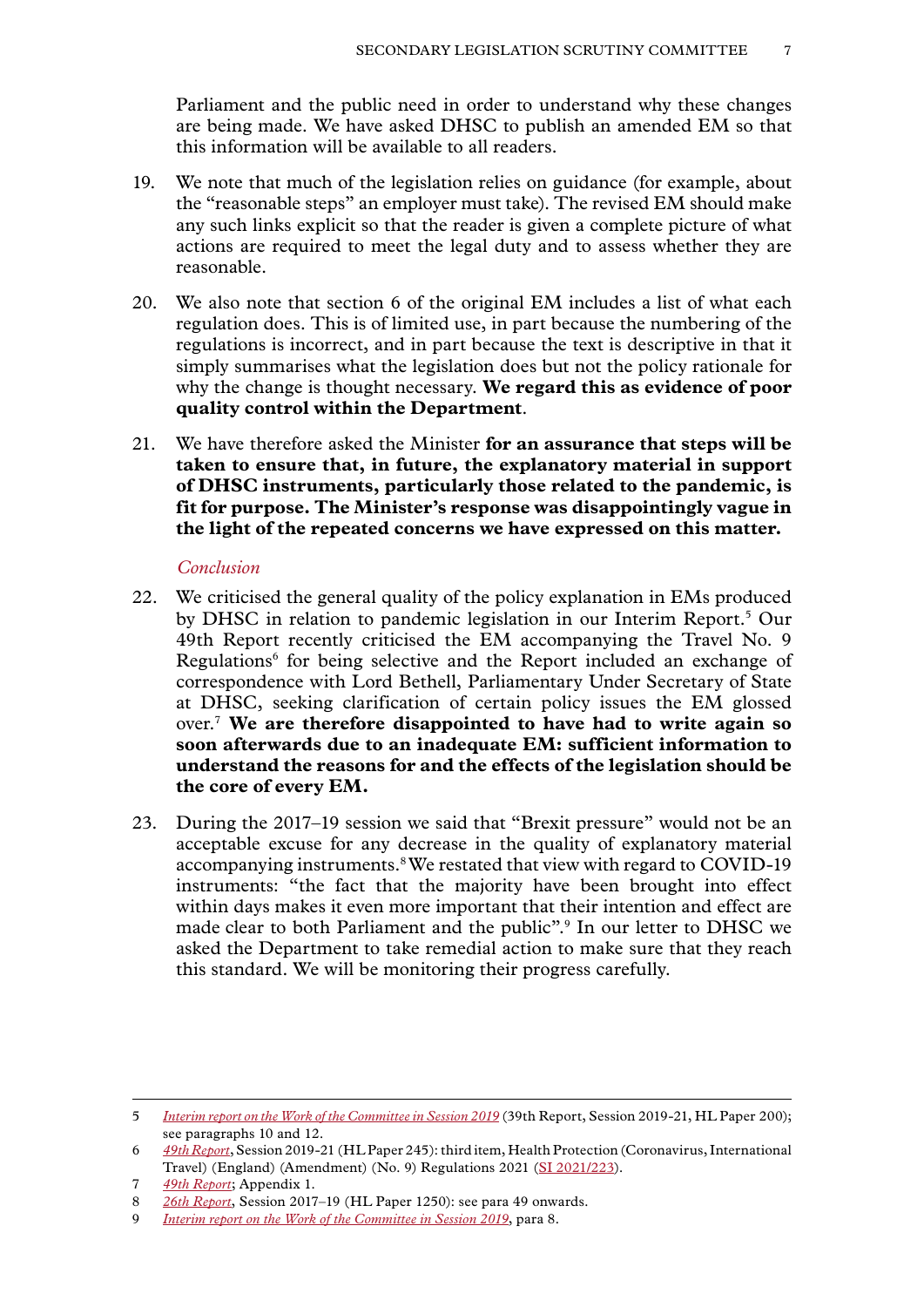Parliament and the public need in order to understand why these changes are being made. We have asked DHSC to publish an amended EM so that this information will be available to all readers.

- 19. We note that much of the legislation relies on guidance (for example, about the "reasonable steps" an employer must take). The revised EM should make any such links explicit so that the reader is given a complete picture of what actions are required to meet the legal duty and to assess whether they are reasonable.
- 20. We also note that section 6 of the original EM includes a list of what each regulation does. This is of limited use, in part because the numbering of the regulations is incorrect, and in part because the text is descriptive in that it simply summarises what the legislation does but not the policy rationale for why the change is thought necessary. **We regard this as evidence of poor quality control within the Department**.
- 21. We have therefore asked the Minister **for an assurance that steps will be taken to ensure that, in future, the explanatory material in support of DHSC instruments, particularly those related to the pandemic, is fit for purpose. The Minister's response was disappointingly vague in the light of the repeated concerns we have expressed on this matter.**

#### *Conclusion*

- 22. We criticised the general quality of the policy explanation in EMs produced by DHSC in relation to pandemic legislation in our Interim Report.5 Our 49th Report recently criticised the EM accompanying the Travel No. 9 Regulations<sup>6</sup> for being selective and the Report included an exchange of correspondence with Lord Bethell, Parliamentary Under Secretary of State at DHSC, seeking clarification of certain policy issues the EM glossed over.7 **We are therefore disappointed to have had to write again so soon afterwards due to an inadequate EM: sufficient information to understand the reasons for and the effects of the legislation should be the core of every EM.**
- 23. During the 2017–19 session we said that "Brexit pressure" would not be an acceptable excuse for any decrease in the quality of explanatory material accompanying instruments.<sup>8</sup>We restated that view with regard to COVID-19 instruments: "the fact that the majority have been brought into effect within days makes it even more important that their intention and effect are made clear to both Parliament and the public".9 In our letter to DHSC we asked the Department to take remedial action to make sure that they reach this standard. We will be monitoring their progress carefully.

<sup>5</sup> *[Interim report on the Work of the Committee in Session 2019](https://publications.parliament.uk/pa/ld5801/ldselect/ldsecleg/200/20002.htm)* (39th Report, Session 2019-21, HL Paper 200); see paragraphs 10 and 12.

<sup>6</sup> *[49th Report](https://publications.parliament.uk/pa/ld5801/ldselect/ldsecleg/245/24504.htm)*, Session 2019-21 (HL Paper 245): third item, Health Protection (Coronavirus, International Travel) (England) (Amendment) (No. 9) Regulations 2021 [\(SI 2021/223\)](https://www.legislation.gov.uk/uksi/2021/223/contents/made).

<sup>7</sup> *[49th Report](https://publications.parliament.uk/pa/ld5801/ldselect/ldsecleg/245/24509.htm)*; Appendix 1.

<sup>8</sup> *[26th Report](https://publications.parliament.uk/pa/ld201719/ldselect/ldsecleg/125/12502.htm)*, Session 2017–19 (HL Paper 1250): see para 49 onwards.

<sup>9</sup> *[Interim report on the Work of the Committee in Session 2019](https://publications.parliament.uk/pa/ld5801/ldselect/ldsecleg/200/20002.htm)*, para 8.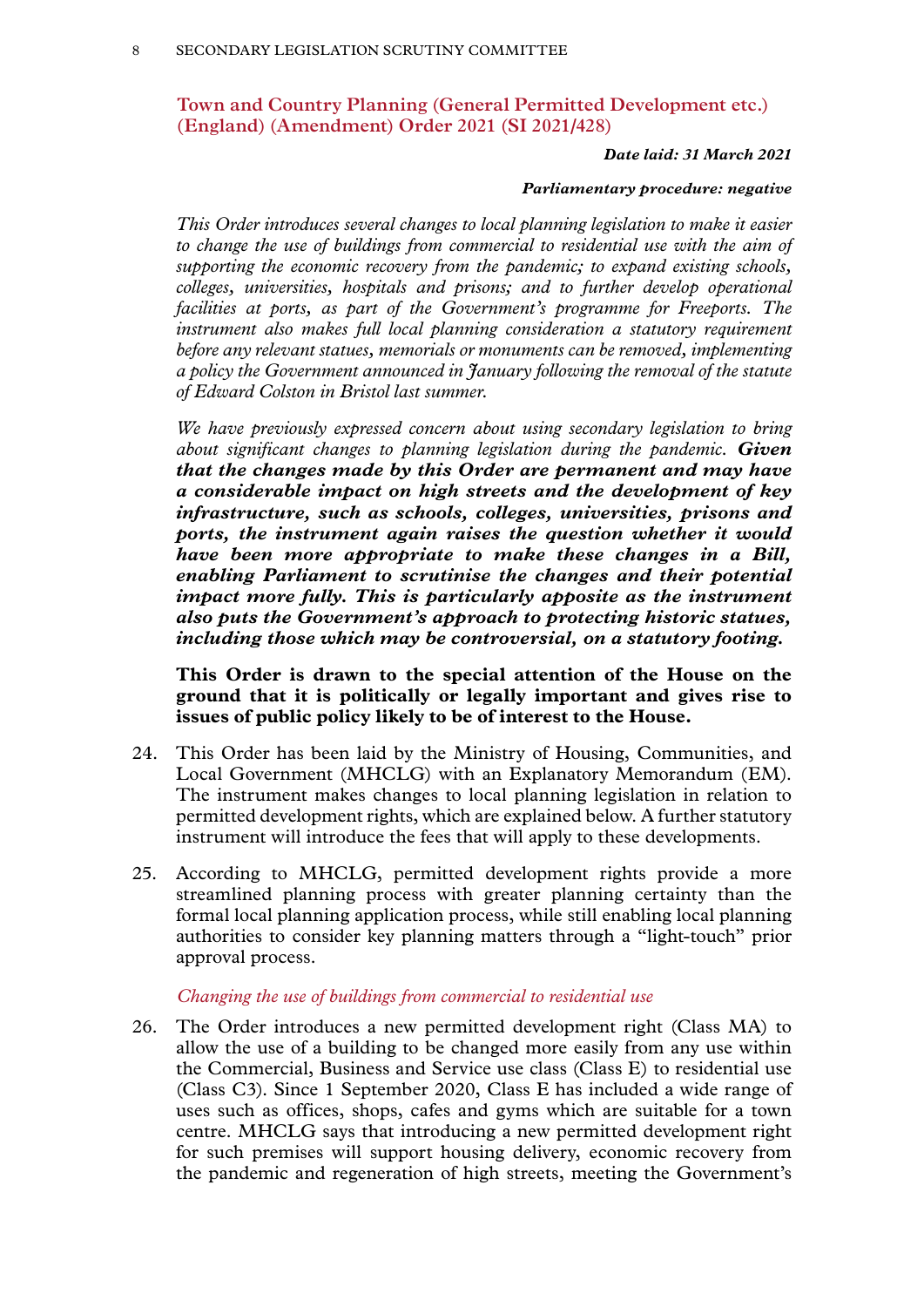## **Town and Country Planning (General Permitted Development etc.) (England) (Amendment) Order 2021 (SI 2021/428)**

#### *Date laid: 31 March 2021*

#### *Parliamentary procedure: negative*

*This Order introduces several changes to local planning legislation to make it easier to change the use of buildings from commercial to residential use with the aim of supporting the economic recovery from the pandemic; to expand existing schools, colleges, universities, hospitals and prisons; and to further develop operational facilities at ports, as part of the Government's programme for Freeports. The instrument also makes full local planning consideration a statutory requirement before any relevant statues, memorials or monuments can be removed, implementing a policy the Government announced in January following the removal of the statute of Edward Colston in Bristol last summer.* 

*We have previously expressed concern about using secondary legislation to bring about significant changes to planning legislation during the pandemic. Given that the changes made by this Order are permanent and may have a considerable impact on high streets and the development of key infrastructure, such as schools, colleges, universities, prisons and ports, the instrument again raises the question whether it would have been more appropriate to make these changes in a Bill, enabling Parliament to scrutinise the changes and their potential impact more fully. This is particularly apposite as the instrument also puts the Government's approach to protecting historic statues, including those which may be controversial, on a statutory footing.*

**This Order is drawn to the special attention of the House on the ground that it is politically or legally important and gives rise to issues of public policy likely to be of interest to the House.**

- 24. This Order has been laid by the Ministry of Housing, Communities, and Local Government (MHCLG) with an Explanatory Memorandum (EM). The instrument makes changes to local planning legislation in relation to permitted development rights, which are explained below. A further statutory instrument will introduce the fees that will apply to these developments.
- 25. According to MHCLG, permitted development rights provide a more streamlined planning process with greater planning certainty than the formal local planning application process, while still enabling local planning authorities to consider key planning matters through a "light-touch" prior approval process.

#### *Changing the use of buildings from commercial to residential use*

26. The Order introduces a new permitted development right (Class MA) to allow the use of a building to be changed more easily from any use within the Commercial, Business and Service use class (Class E) to residential use (Class C3). Since 1 September 2020, Class E has included a wide range of uses such as offices, shops, cafes and gyms which are suitable for a town centre. MHCLG says that introducing a new permitted development right for such premises will support housing delivery, economic recovery from the pandemic and regeneration of high streets, meeting the Government's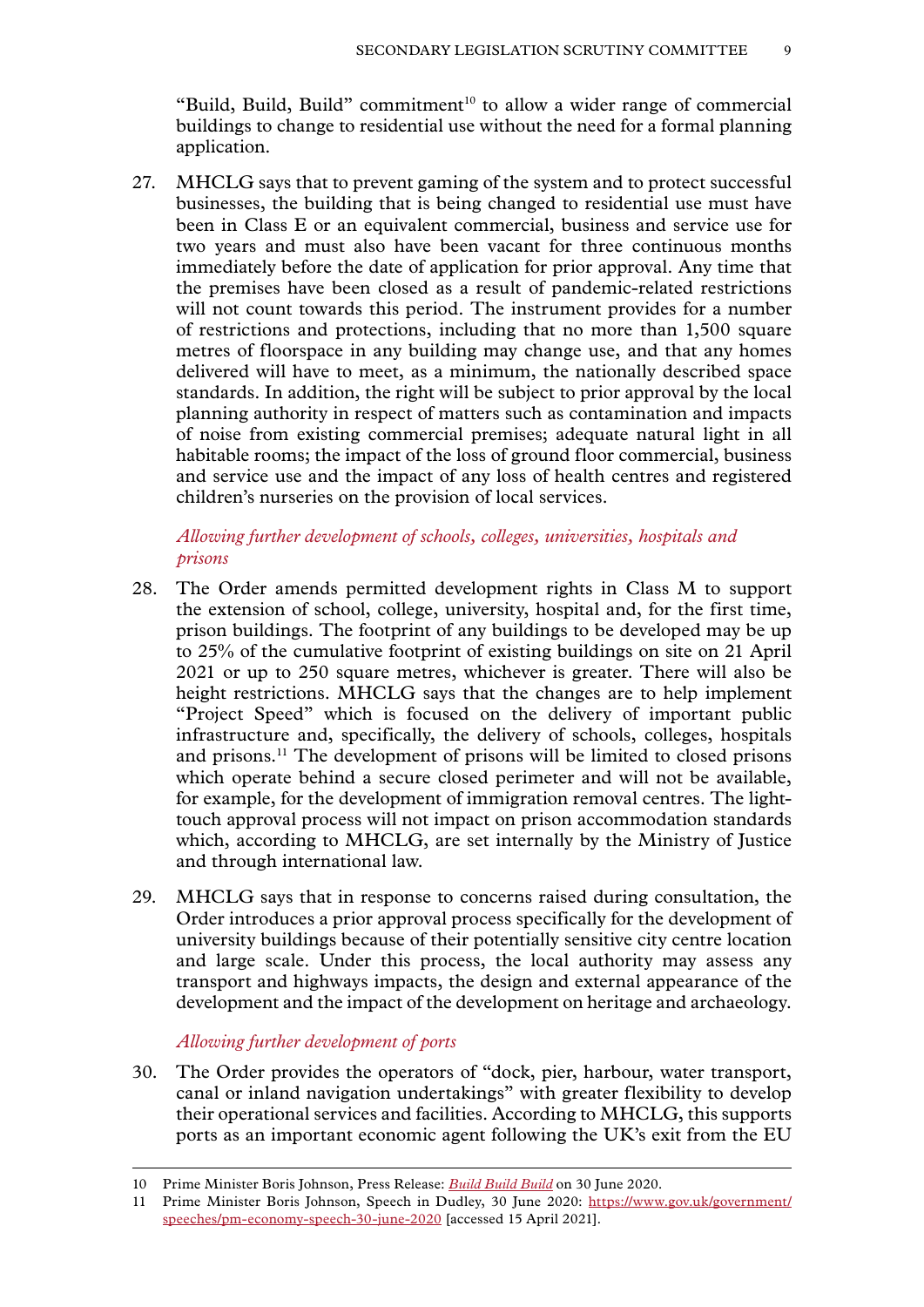"Build, Build, Build" commitment<sup>10</sup> to allow a wider range of commercial buildings to change to residential use without the need for a formal planning application.

27. MHCLG says that to prevent gaming of the system and to protect successful businesses, the building that is being changed to residential use must have been in Class E or an equivalent commercial, business and service use for two years and must also have been vacant for three continuous months immediately before the date of application for prior approval. Any time that the premises have been closed as a result of pandemic-related restrictions will not count towards this period. The instrument provides for a number of restrictions and protections, including that no more than 1,500 square metres of floorspace in any building may change use, and that any homes delivered will have to meet, as a minimum, the nationally described space standards. In addition, the right will be subject to prior approval by the local planning authority in respect of matters such as contamination and impacts of noise from existing commercial premises; adequate natural light in all habitable rooms; the impact of the loss of ground floor commercial, business and service use and the impact of any loss of health centres and registered children's nurseries on the provision of local services.

*Allowing further development of schools, colleges, universities, hospitals and prisons*

- 28. The Order amends permitted development rights in Class M to support the extension of school, college, university, hospital and, for the first time, prison buildings. The footprint of any buildings to be developed may be up to 25% of the cumulative footprint of existing buildings on site on 21 April 2021 or up to 250 square metres, whichever is greater. There will also be height restrictions. MHCLG says that the changes are to help implement "Project Speed" which is focused on the delivery of important public infrastructure and, specifically, the delivery of schools, colleges, hospitals and prisons.<sup>11</sup> The development of prisons will be limited to closed prisons which operate behind a secure closed perimeter and will not be available, for example, for the development of immigration removal centres. The lighttouch approval process will not impact on prison accommodation standards which, according to MHCLG, are set internally by the Ministry of Justice and through international law.
- 29. MHCLG says that in response to concerns raised during consultation, the Order introduces a prior approval process specifically for the development of university buildings because of their potentially sensitive city centre location and large scale. Under this process, the local authority may assess any transport and highways impacts, the design and external appearance of the development and the impact of the development on heritage and archaeology.

#### *Allowing further development of ports*

30. The Order provides the operators of "dock, pier, harbour, water transport, canal or inland navigation undertakings" with greater flexibility to develop their operational services and facilities. According to MHCLG, this supports ports as an important economic agent following the UK's exit from the EU

<sup>10</sup> Prime Minister Boris Johnson, Press Release: *[Build Build Build](https://www.gov.uk/government/news/pm-build-build-build)* on 30 June 2020.

<sup>11</sup> Prime Minister Boris Johnson, Speech in Dudley, 30 June 2020: [https://www.gov.uk/government/](https://www.gov.uk/government/speeches/pm-economy-speech-30-june-2020) [speeches/pm-economy-speech-30-june-2020](https://www.gov.uk/government/speeches/pm-economy-speech-30-june-2020) [accessed 15 April 2021].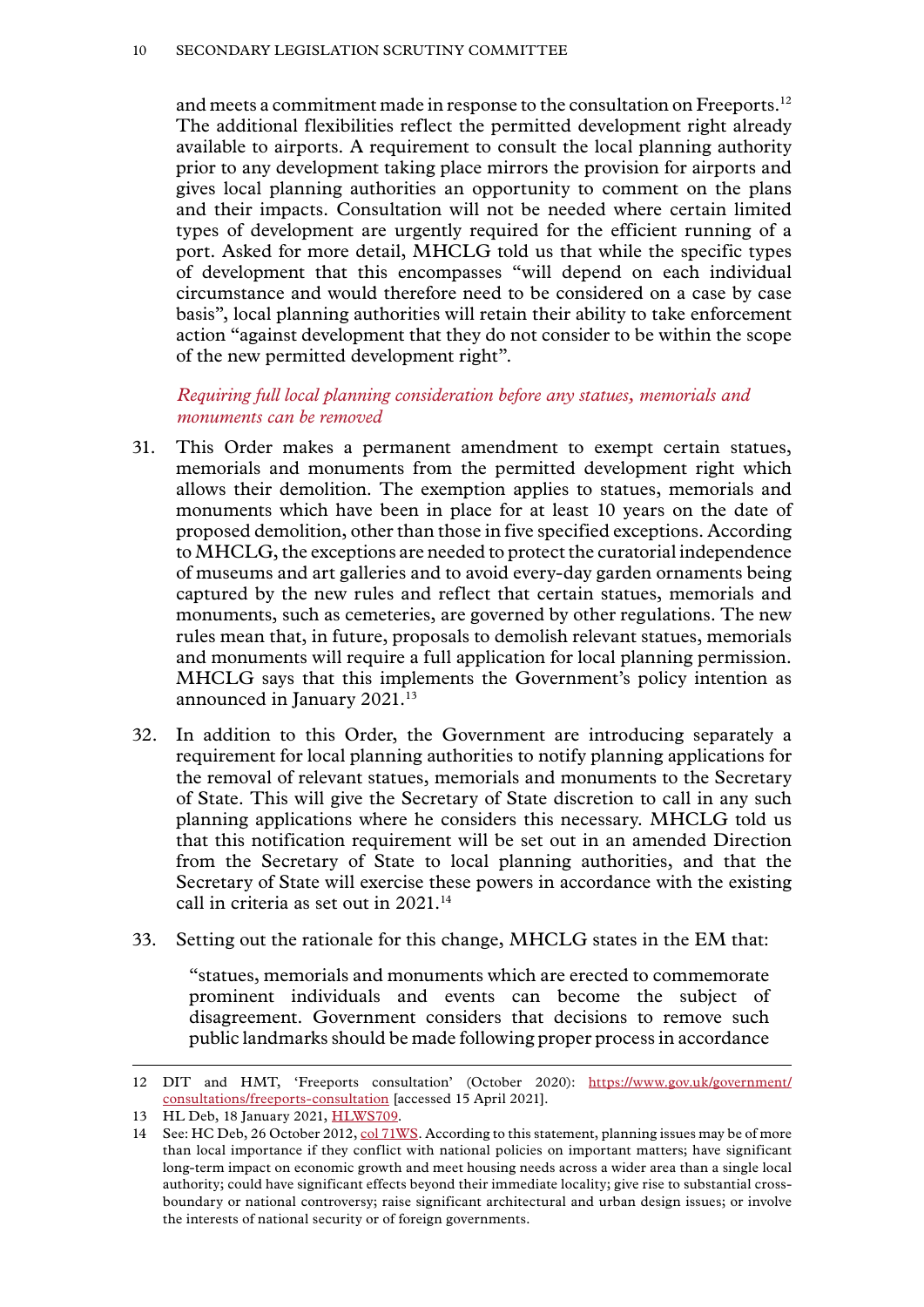and meets a commitment made in response to the consultation on Freeports.<sup>12</sup> The additional flexibilities reflect the permitted development right already available to airports. A requirement to consult the local planning authority prior to any development taking place mirrors the provision for airports and gives local planning authorities an opportunity to comment on the plans and their impacts. Consultation will not be needed where certain limited types of development are urgently required for the efficient running of a port. Asked for more detail, MHCLG told us that while the specific types of development that this encompasses "will depend on each individual circumstance and would therefore need to be considered on a case by case basis", local planning authorities will retain their ability to take enforcement action "against development that they do not consider to be within the scope of the new permitted development right".

## *Requiring full local planning consideration before any statues, memorials and monuments can be removed*

- 31. This Order makes a permanent amendment to exempt certain statues, memorials and monuments from the permitted development right which allows their demolition. The exemption applies to statues, memorials and monuments which have been in place for at least 10 years on the date of proposed demolition, other than those in five specified exceptions. According to MHCLG, the exceptions are needed to protect the curatorial independence of museums and art galleries and to avoid every-day garden ornaments being captured by the new rules and reflect that certain statues, memorials and monuments, such as cemeteries, are governed by other regulations. The new rules mean that, in future, proposals to demolish relevant statues, memorials and monuments will require a full application for local planning permission. MHCLG says that this implements the Government's policy intention as announced in January 2021.<sup>13</sup>
- 32. In addition to this Order, the Government are introducing separately a requirement for local planning authorities to notify planning applications for the removal of relevant statues, memorials and monuments to the Secretary of State. This will give the Secretary of State discretion to call in any such planning applications where he considers this necessary. MHCLG told us that this notification requirement will be set out in an amended Direction from the Secretary of State to local planning authorities, and that the Secretary of State will exercise these powers in accordance with the existing call in criteria as set out in 2021.14
- 33. Setting out the rationale for this change, MHCLG states in the EM that:

"statues, memorials and monuments which are erected to commemorate prominent individuals and events can become the subject of disagreement. Government considers that decisions to remove such public landmarks should be made following proper process in accordance

<sup>12</sup> DIT and HMT, 'Freeports consultation' (October 2020): [https://www.gov.uk/government/](https://www.gov.uk/government/consultations/freeports-consultation) [consultations/freeports-consultation](https://www.gov.uk/government/consultations/freeports-consultation) [accessed 15 April 2021].

<sup>13</sup> HL Deb, 18 January 2021, [HLWS709](https://questions-statements.parliament.uk/written-statements/detail/2021-01-18/hlws709).

<sup>14</sup> See: HC Deb, 26 October 2012, col 71WS. According to this statement, planning issues may be of more than local importance if they conflict with national policies on important matters; have significant long-term impact on economic growth and meet housing needs across a wider area than a single local authority; could have significant effects beyond their immediate locality; give rise to substantial crossboundary or national controversy; raise significant architectural and urban design issues; or involve the interests of national security or of foreign governments.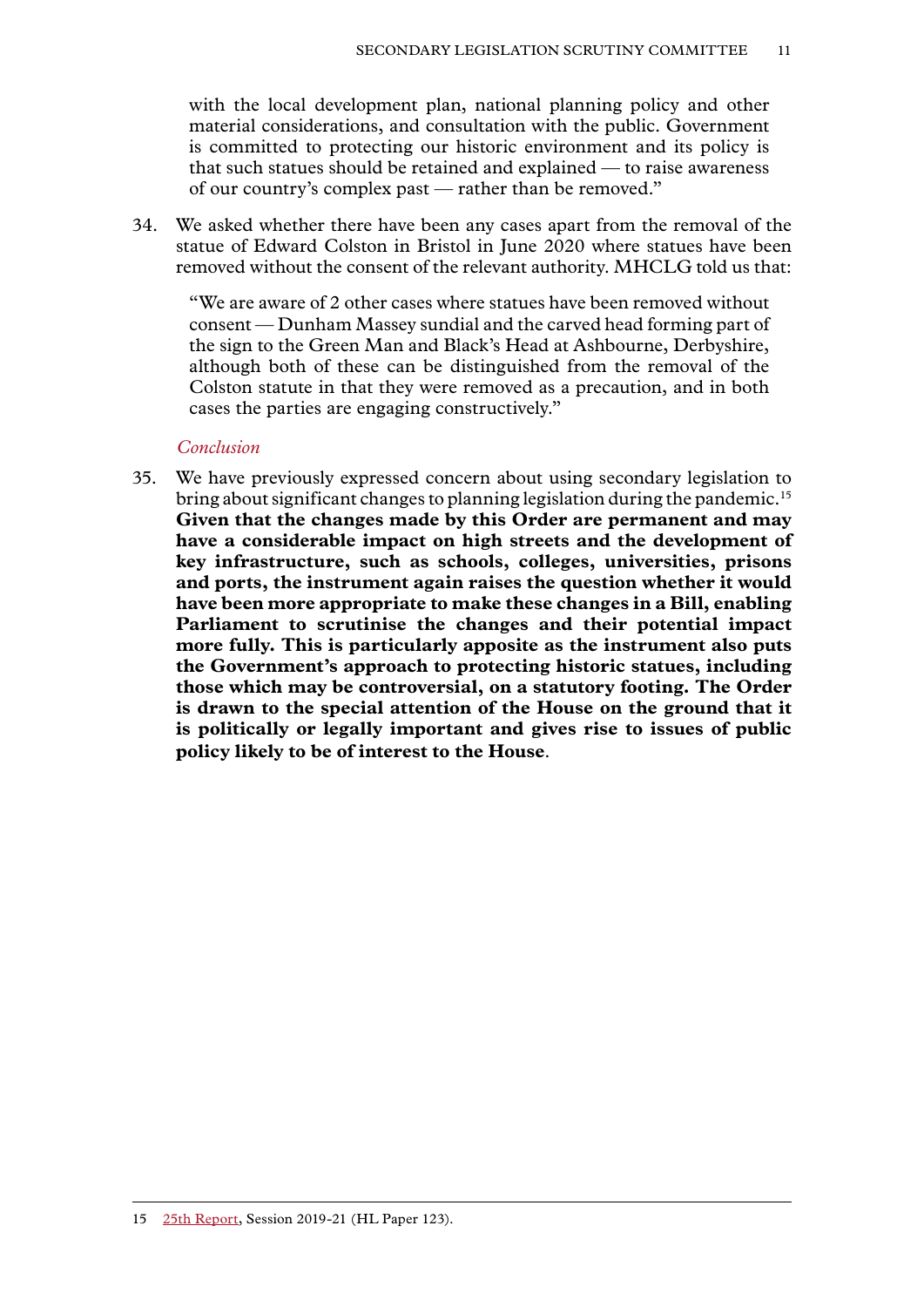with the local development plan, national planning policy and other material considerations, and consultation with the public. Government is committed to protecting our historic environment and its policy is that such statues should be retained and explained — to raise awareness of our country's complex past — rather than be removed."

34. We asked whether there have been any cases apart from the removal of the statue of Edward Colston in Bristol in June 2020 where statues have been removed without the consent of the relevant authority. MHCLG told us that:

"We are aware of 2 other cases where statues have been removed without consent — Dunham Massey sundial and the carved head forming part of the sign to the Green Man and Black's Head at Ashbourne, Derbyshire, although both of these can be distinguished from the removal of the Colston statute in that they were removed as a precaution, and in both cases the parties are engaging constructively."

#### *Conclusion*

35. We have previously expressed concern about using secondary legislation to bring about significant changes to planning legislation during the pandemic.<sup>15</sup> **Given that the changes made by this Order are permanent and may have a considerable impact on high streets and the development of key infrastructure, such as schools, colleges, universities, prisons and ports, the instrument again raises the question whether it would have been more appropriate to make these changes in a Bill, enabling Parliament to scrutinise the changes and their potential impact more fully. This is particularly apposite as the instrument also puts the Government's approach to protecting historic statues, including those which may be controversial, on a statutory footing. The Order is drawn to the special attention of the House on the ground that it is politically or legally important and gives rise to issues of public policy likely to be of interest to the House**.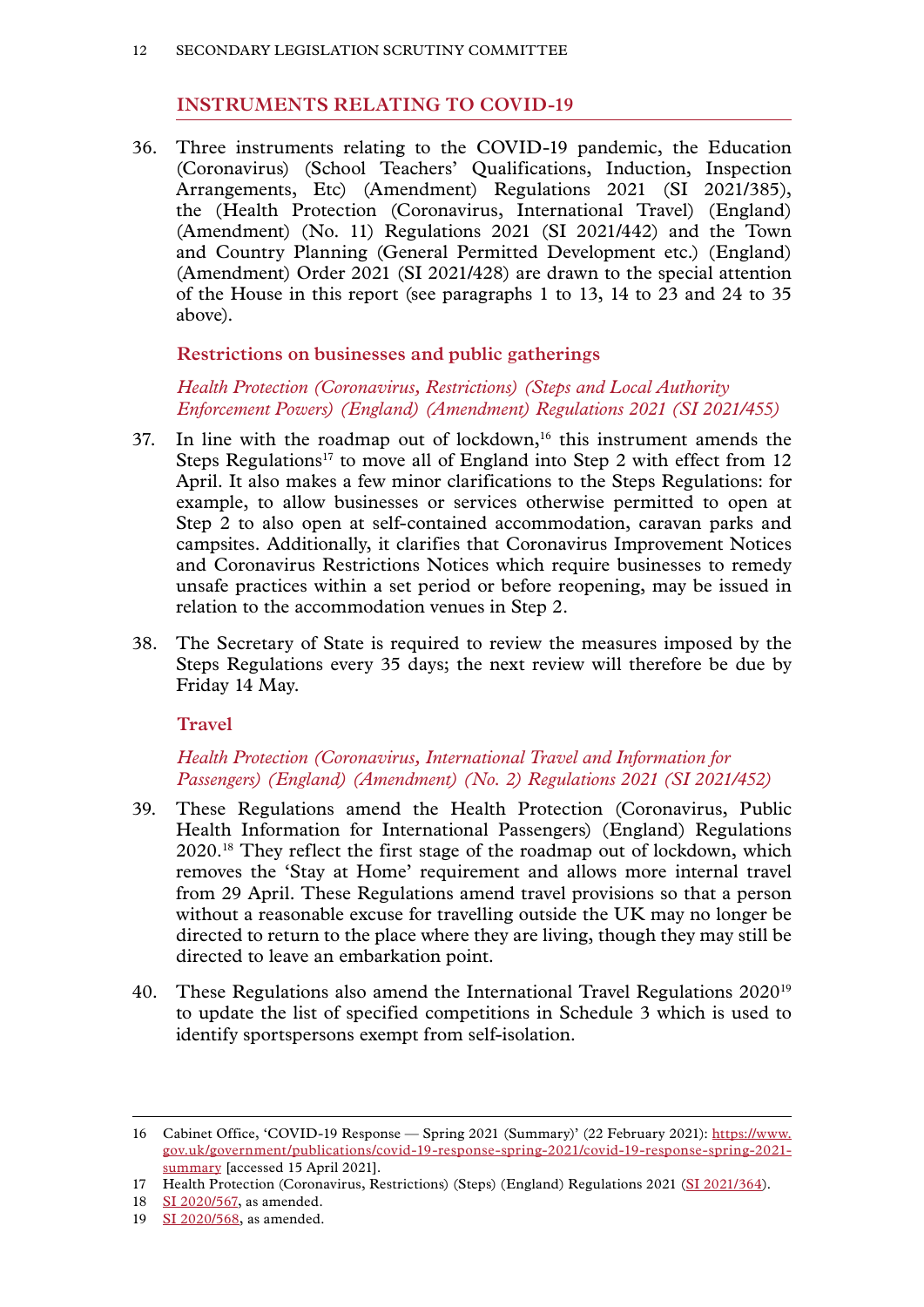## **INSTRUMENTS RELATING TO COVID-19**

36. Three instruments relating to the COVID-19 pandemic, the Education (Coronavirus) (School Teachers' Qualifications, Induction, Inspection Arrangements, Etc) (Amendment) Regulations 2021 (SI 2021/385), the (Health Protection (Coronavirus, International Travel) (England) (Amendment) (No. 11) Regulations 2021 (SI 2021/442) and the Town and Country Planning (General Permitted Development etc.) (England) (Amendment) Order 2021 (SI 2021/428) are drawn to the special attention of the House in this report (see paragraphs 1 to 13, 14 to 23 and 24 to 35 above).

## **Restrictions on businesses and public gatherings**

*Health Protection (Coronavirus, Restrictions) (Steps and Local Authority Enforcement Powers) (England) (Amendment) Regulations 2021 (SI 2021/455)*

- 37. In line with the roadmap out of lockdown,<sup>16</sup> this instrument amends the Steps Regulations<sup>17</sup> to move all of England into Step 2 with effect from 12 April. It also makes a few minor clarifications to the Steps Regulations: for example, to allow businesses or services otherwise permitted to open at Step 2 to also open at self-contained accommodation, caravan parks and campsites. Additionally, it clarifies that Coronavirus Improvement Notices and Coronavirus Restrictions Notices which require businesses to remedy unsafe practices within a set period or before reopening, may be issued in relation to the accommodation venues in Step 2.
- 38. The Secretary of State is required to review the measures imposed by the Steps Regulations every 35 days; the next review will therefore be due by Friday 14 May.

**Travel**

## *Health Protection (Coronavirus, International Travel and Information for Passengers) (England) (Amendment) (No. 2) Regulations 2021 (SI 2021/452)*

- 39. These Regulations amend the Health Protection (Coronavirus, Public Health Information for International Passengers) (England) Regulations 2020.18 They reflect the first stage of the roadmap out of lockdown, which removes the 'Stay at Home' requirement and allows more internal travel from 29 April. These Regulations amend travel provisions so that a person without a reasonable excuse for travelling outside the UK may no longer be directed to return to the place where they are living, though they may still be directed to leave an embarkation point.
- 40. These Regulations also amend the International Travel Regulations 2020<sup>19</sup> to update the list of specified competitions in Schedule 3 which is used to identify sportspersons exempt from self-isolation.

<sup>16</sup> Cabinet Office, 'COVID-19 Response — Spring 2021 (Summary)' (22 February 2021): [https://www.](https://www.gov.uk/government/publications/covid-19-response-spring-2021/covid-19-response-spring-2021-summary) [gov.uk/government/publications/covid-19-response-spring-2021/covid-19-response-spring-2021](https://www.gov.uk/government/publications/covid-19-response-spring-2021/covid-19-response-spring-2021-summary) [summary](https://www.gov.uk/government/publications/covid-19-response-spring-2021/covid-19-response-spring-2021-summary) [accessed 15 April 2021].

<sup>17</sup> Health Protection (Coronavirus, Restrictions) (Steps) (England) Regulations 2021 [\(SI 2021/364\)](https://www.legislation.gov.uk/uksi/2021/364/memorandum/contents).

<sup>18</sup> [SI 2020/567](https://www.legislation.gov.uk/id/uksi/2020/567), as amended.

<sup>19</sup> [SI 2020/568](https://www.legislation.gov.uk/uksi/2020/568/memorandum/contents), as amended.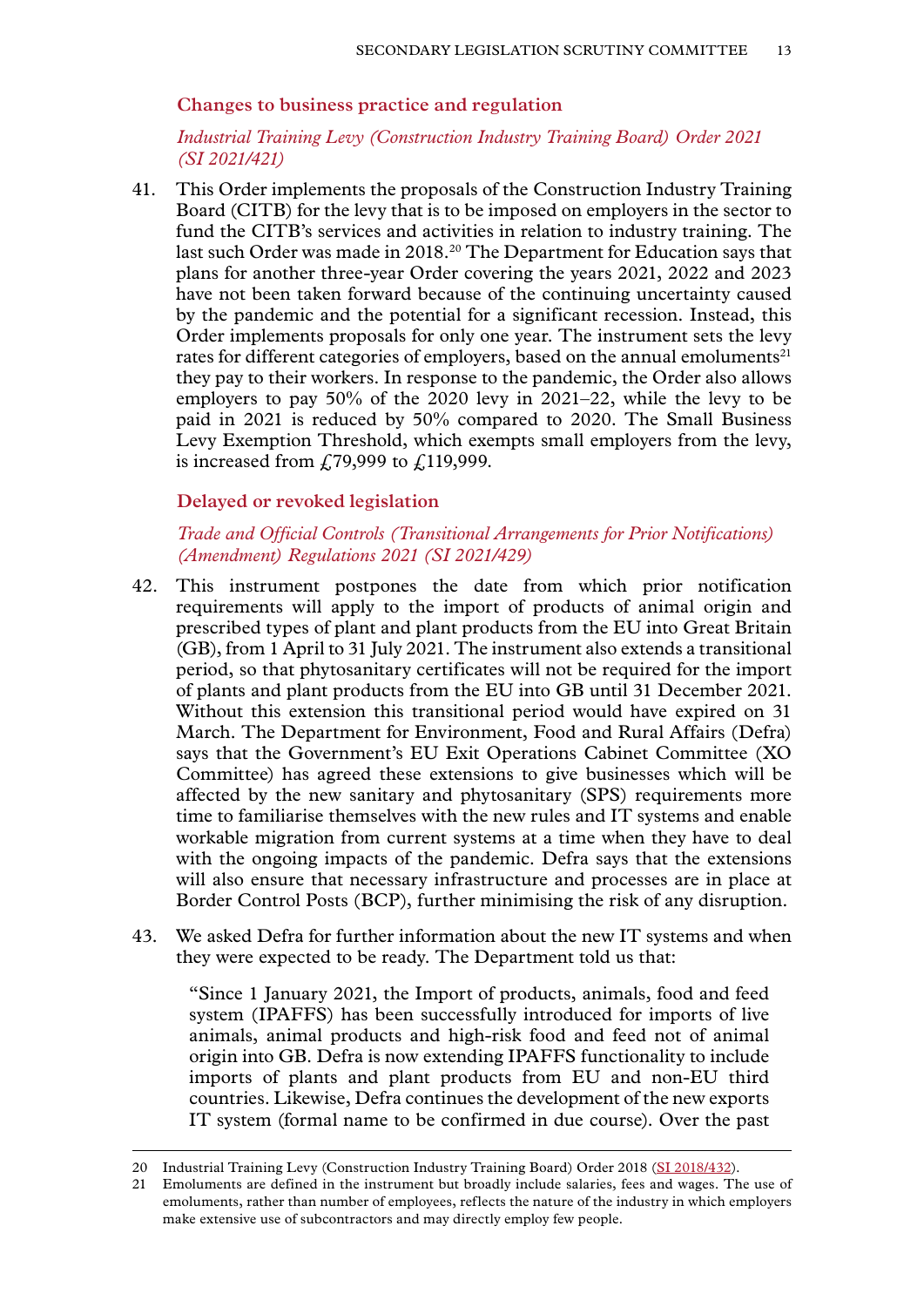#### **Changes to business practice and regulation**

## *Industrial Training Levy (Construction Industry Training Board) Order 2021 (SI 2021/421)*

41. This Order implements the proposals of the Construction Industry Training Board (CITB) for the levy that is to be imposed on employers in the sector to fund the CITB's services and activities in relation to industry training. The last such Order was made in 2018.<sup>20</sup> The Department for Education says that plans for another three-year Order covering the years 2021, 2022 and 2023 have not been taken forward because of the continuing uncertainty caused by the pandemic and the potential for a significant recession. Instead, this Order implements proposals for only one year. The instrument sets the levy rates for different categories of employers, based on the annual emoluments<sup>21</sup> they pay to their workers. In response to the pandemic, the Order also allows employers to pay 50% of the 2020 levy in 2021–22, while the levy to be paid in 2021 is reduced by 50% compared to 2020. The Small Business Levy Exemption Threshold, which exempts small employers from the levy, is increased from  $\text{\textsterling}79,999$  to  $\text{\textsterling}119,999$ .

#### **Delayed or revoked legislation**

## *Trade and Official Controls (Transitional Arrangements for Prior Notifications) (Amendment) Regulations 2021 (SI 2021/429)*

- 42. This instrument postpones the date from which prior notification requirements will apply to the import of products of animal origin and prescribed types of plant and plant products from the EU into Great Britain (GB), from 1 April to 31 July 2021. The instrument also extends a transitional period, so that phytosanitary certificates will not be required for the import of plants and plant products from the EU into GB until 31 December 2021. Without this extension this transitional period would have expired on 31 March. The Department for Environment, Food and Rural Affairs (Defra) says that the Government's EU Exit Operations Cabinet Committee (XO Committee) has agreed these extensions to give businesses which will be affected by the new sanitary and phytosanitary (SPS) requirements more time to familiarise themselves with the new rules and IT systems and enable workable migration from current systems at a time when they have to deal with the ongoing impacts of the pandemic. Defra says that the extensions will also ensure that necessary infrastructure and processes are in place at Border Control Posts (BCP), further minimising the risk of any disruption.
- 43. We asked Defra for further information about the new IT systems and when they were expected to be ready. The Department told us that:

"Since 1 January 2021, the Import of products, animals, food and feed system (IPAFFS) has been successfully introduced for imports of live animals, animal products and high-risk food and feed not of animal origin into GB. Defra is now extending IPAFFS functionality to include imports of plants and plant products from EU and non-EU third countries. Likewise, Defra continues the development of the new exports IT system (formal name to be confirmed in due course). Over the past

<sup>20</sup> Industrial Training Levy (Construction Industry Training Board) Order 2018 [\(SI 2018/432](https://www.legislation.gov.uk/uksi/2018/432/introduction/made)).

<sup>21</sup> Emoluments are defined in the instrument but broadly include salaries, fees and wages. The use of emoluments, rather than number of employees, reflects the nature of the industry in which employers make extensive use of subcontractors and may directly employ few people.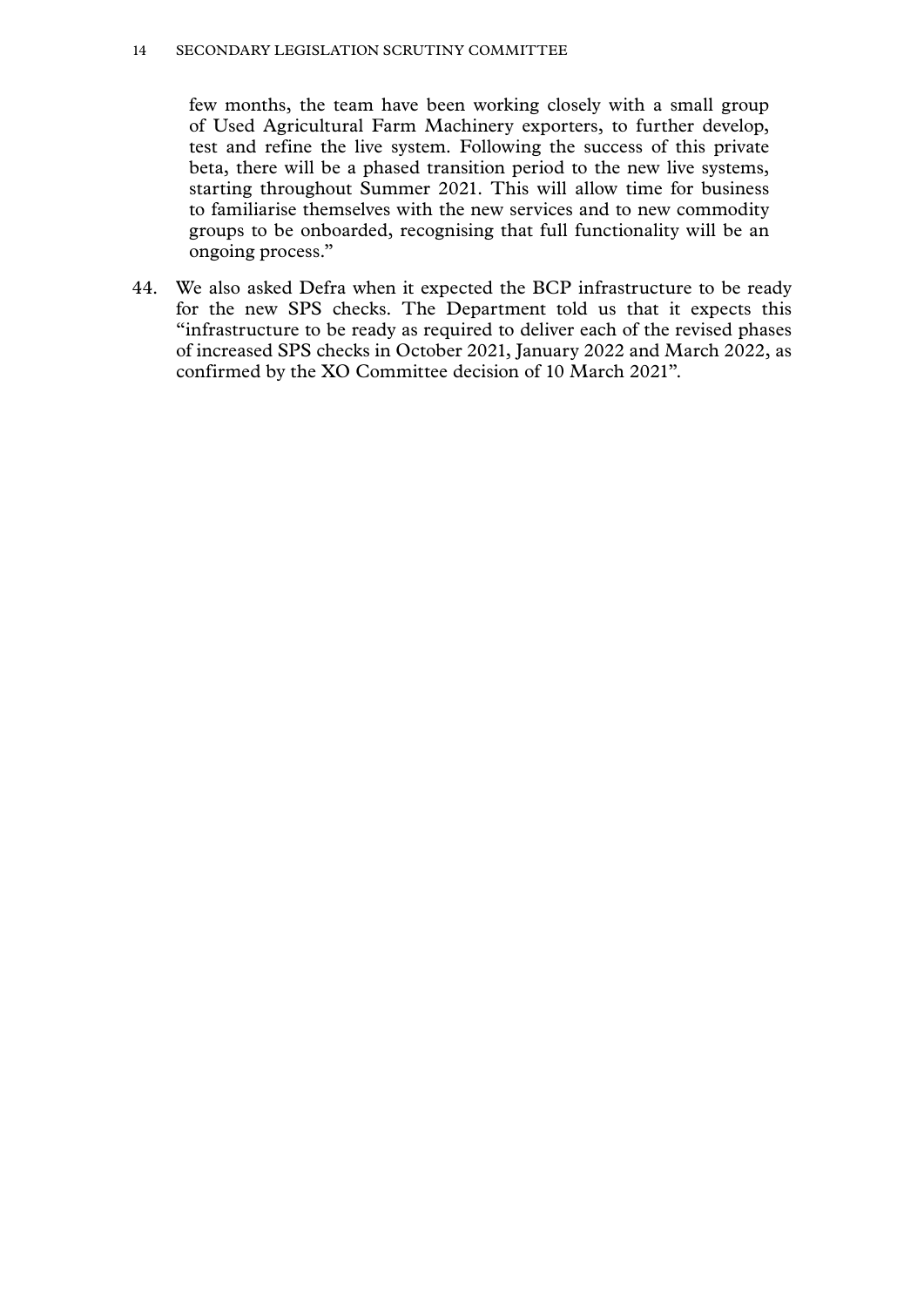few months, the team have been working closely with a small group of Used Agricultural Farm Machinery exporters, to further develop, test and refine the live system. Following the success of this private beta, there will be a phased transition period to the new live systems, starting throughout Summer 2021. This will allow time for business to familiarise themselves with the new services and to new commodity groups to be onboarded, recognising that full functionality will be an ongoing process."

44. We also asked Defra when it expected the BCP infrastructure to be ready for the new SPS checks. The Department told us that it expects this "infrastructure to be ready as required to deliver each of the revised phases of increased SPS checks in October 2021, January 2022 and March 2022, as confirmed by the XO Committee decision of 10 March 2021".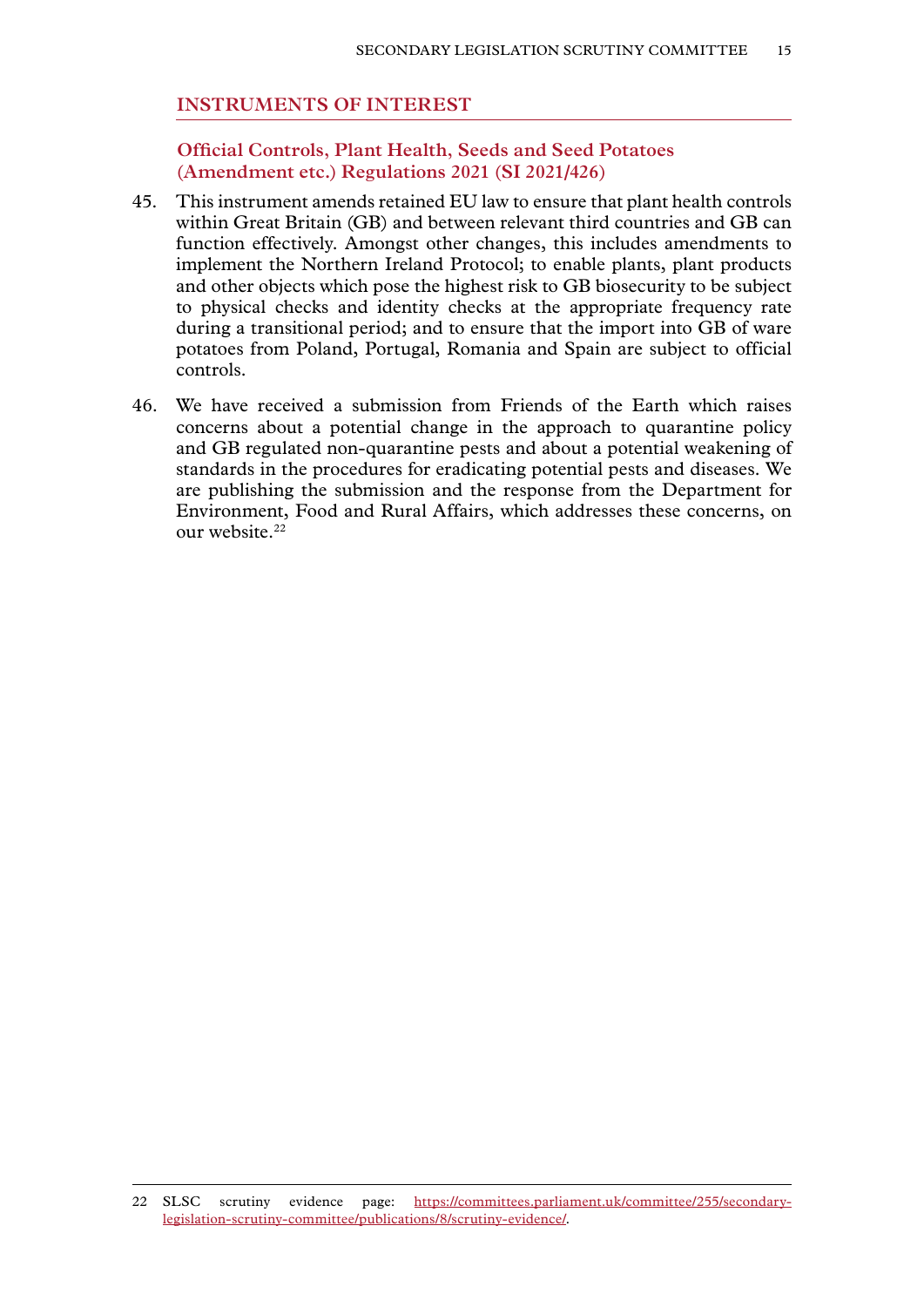#### **INSTRUMENTS OF INTEREST**

**Official Controls, Plant Health, Seeds and Seed Potatoes (Amendment etc.) Regulations 2021 (SI 2021/426)**

- 45. This instrument amends retained EU law to ensure that plant health controls within Great Britain (GB) and between relevant third countries and GB can function effectively. Amongst other changes, this includes amendments to implement the Northern Ireland Protocol; to enable plants, plant products and other objects which pose the highest risk to GB biosecurity to be subject to physical checks and identity checks at the appropriate frequency rate during a transitional period; and to ensure that the import into GB of ware potatoes from Poland, Portugal, Romania and Spain are subject to official controls.
- 46. We have received a submission from Friends of the Earth which raises concerns about a potential change in the approach to quarantine policy and GB regulated non-quarantine pests and about a potential weakening of standards in the procedures for eradicating potential pests and diseases. We are publishing the submission and the response from the Department for Environment, Food and Rural Affairs, which addresses these concerns, on our website.<sup>22</sup>

<sup>22</sup> SLSC scrutiny evidence page: [https://committees.parliament.uk/committee/255/secondary](https://committees.parliament.uk/committee/255/secondary-legislation-scrutiny-committee/publications/8/scrutiny-evidence/)[legislation-scrutiny-committee/publications/8/scrutiny-evidence/.](https://committees.parliament.uk/committee/255/secondary-legislation-scrutiny-committee/publications/8/scrutiny-evidence/)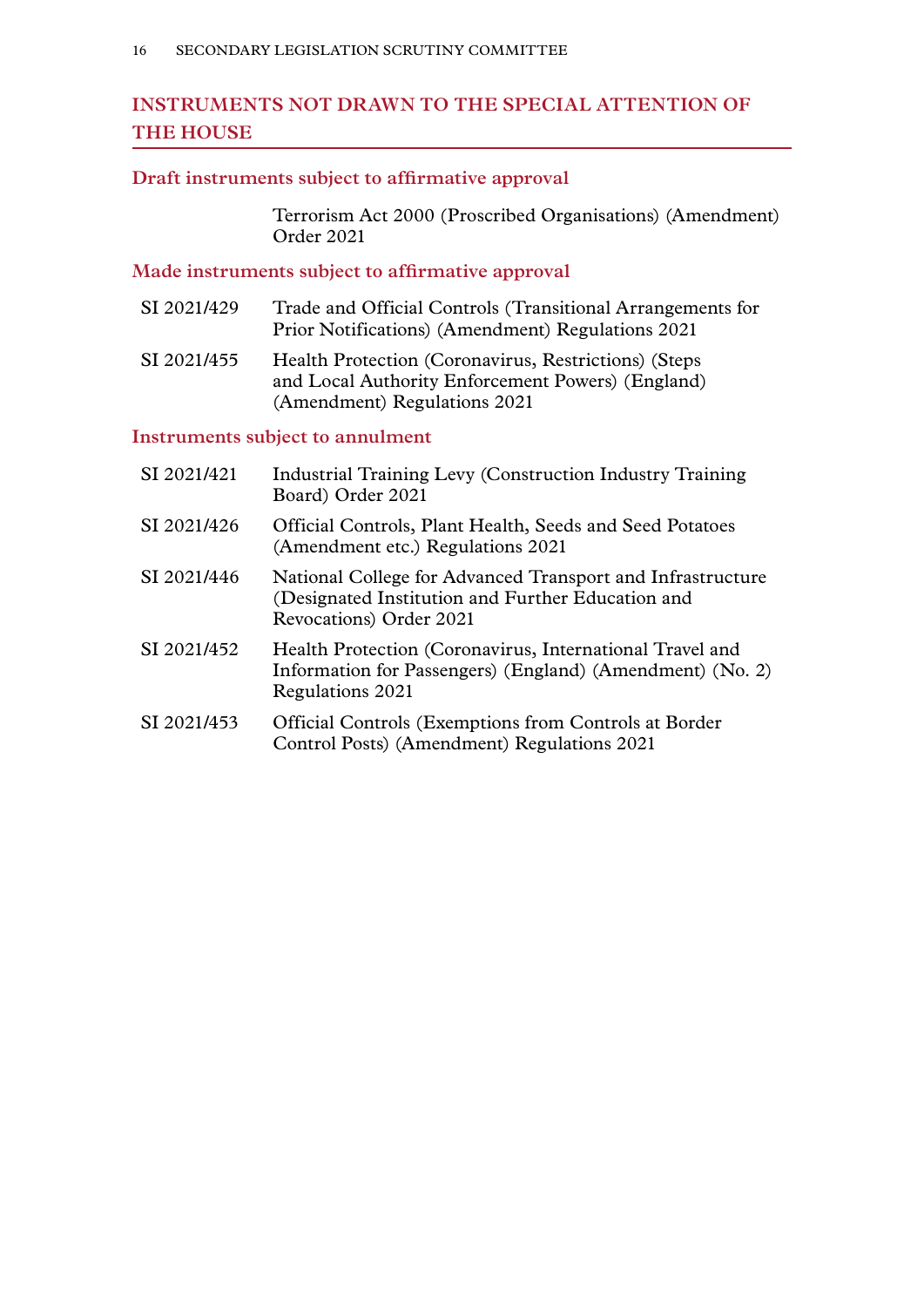## **INSTRUMENTS NOT DRAWN TO THE SPECIAL ATTENTION OF THE HOUSE**

#### **Draft instruments subject to affirmative approval**

Terrorism Act 2000 (Proscribed Organisations) (Amendment) Order 2021

## **Made instruments subject to affirmative approval**

| SI 2021/429                                             | Trade and Official Controls (Transitional Arrangements for |
|---------------------------------------------------------|------------------------------------------------------------|
|                                                         | Prior Notifications) (Amendment) Regulations 2021          |
| $\sim$ $\sim$ $\sim$ $\sim$ $\sim$ $\sim$ $\sim$ $\sim$ |                                                            |

SI 2021/455 Health Protection (Coronavirus, Restrictions) (Steps and Local Authority Enforcement Powers) (England) (Amendment) Regulations 2021

## **Instruments subject to annulment**

| SI 2021/421 | <b>Industrial Training Levy (Construction Industry Training</b><br>Board) Order 2021                                                       |
|-------------|--------------------------------------------------------------------------------------------------------------------------------------------|
| SI 2021/426 | Official Controls, Plant Health, Seeds and Seed Potatoes<br>(Amendment etc.) Regulations 2021                                              |
| SI 2021/446 | National College for Advanced Transport and Infrastructure<br>(Designated Institution and Further Education and<br>Revocations) Order 2021 |
| SI 2021/452 | Health Protection (Coronavirus, International Travel and<br>Information for Passengers) (England) (Amendment) (No. 2)<br>Regulations 2021  |
| SI 2021/453 | Official Controls (Exemptions from Controls at Border<br>Control Posts) (Amendment) Regulations 2021                                       |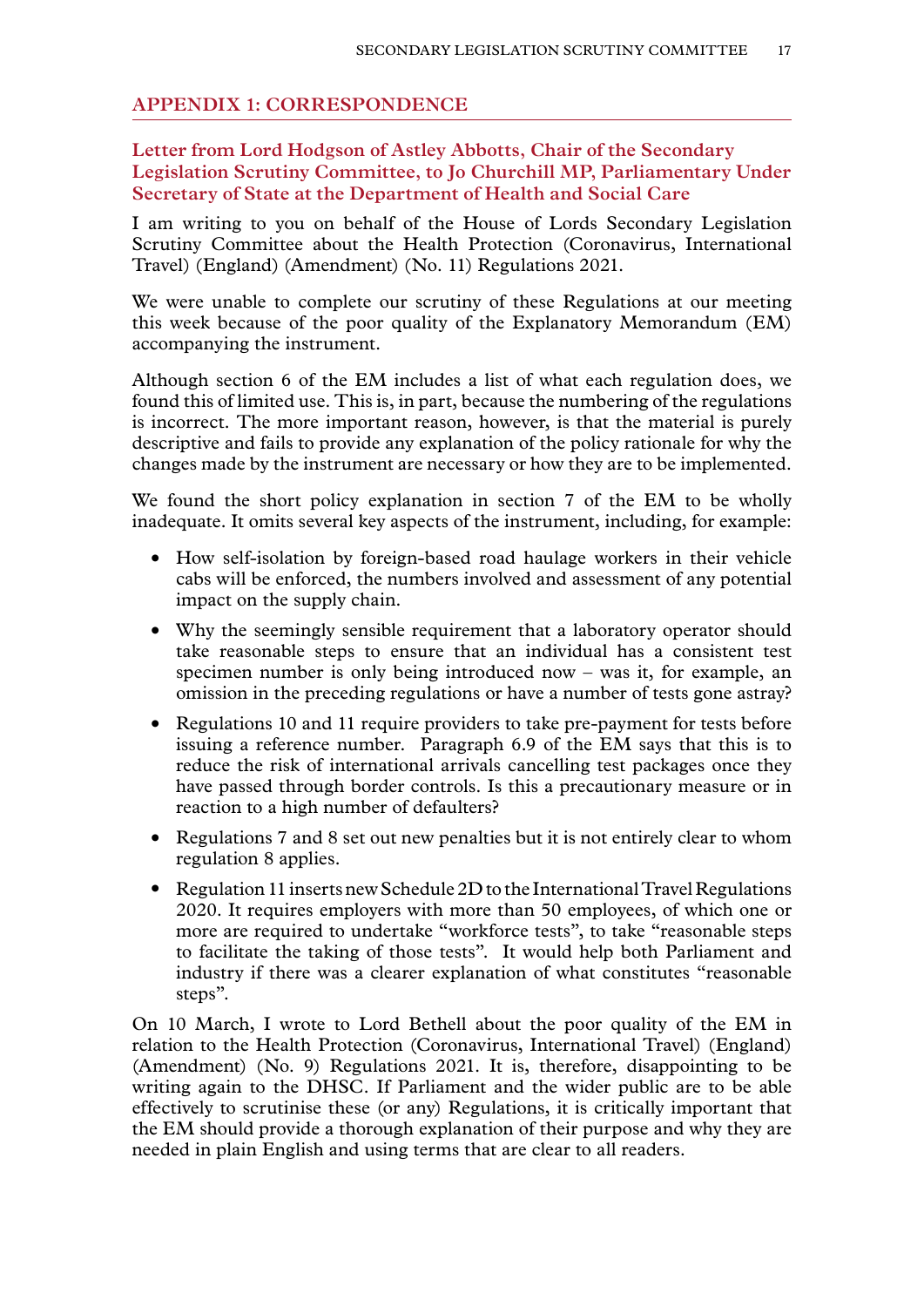#### **Appendix 1: CORRESPONDENCE**

## **Letter from Lord Hodgson of Astley Abbotts, Chair of the Secondary Legislation Scrutiny Committee, to Jo Churchill MP, Parliamentary Under Secretary of State at the Department of Health and Social Care**

I am writing to you on behalf of the House of Lords Secondary Legislation Scrutiny Committee about the Health Protection (Coronavirus, International Travel) (England) (Amendment) (No. 11) Regulations 2021.

We were unable to complete our scrutiny of these Regulations at our meeting this week because of the poor quality of the Explanatory Memorandum (EM) accompanying the instrument.

Although section 6 of the EM includes a list of what each regulation does, we found this of limited use. This is, in part, because the numbering of the regulations is incorrect. The more important reason, however, is that the material is purely descriptive and fails to provide any explanation of the policy rationale for why the changes made by the instrument are necessary or how they are to be implemented.

We found the short policy explanation in section 7 of the EM to be wholly inadequate. It omits several key aspects of the instrument, including, for example:

- How self-isolation by foreign-based road haulage workers in their vehicle cabs will be enforced, the numbers involved and assessment of any potential impact on the supply chain.
- Why the seemingly sensible requirement that a laboratory operator should take reasonable steps to ensure that an individual has a consistent test specimen number is only being introduced now – was it, for example, an omission in the preceding regulations or have a number of tests gone astray?
- Regulations 10 and 11 require providers to take pre-payment for tests before issuing a reference number. Paragraph 6.9 of the EM says that this is to reduce the risk of international arrivals cancelling test packages once they have passed through border controls. Is this a precautionary measure or in reaction to a high number of defaulters?
- Regulations 7 and 8 set out new penalties but it is not entirely clear to whom regulation 8 applies.
- Regulation 11 inserts new Schedule 2D to the International Travel Regulations 2020. It requires employers with more than 50 employees, of which one or more are required to undertake "workforce tests", to take "reasonable steps to facilitate the taking of those tests". It would help both Parliament and industry if there was a clearer explanation of what constitutes "reasonable steps".

On 10 March, I wrote to Lord Bethell about the poor quality of the EM in relation to the Health Protection (Coronavirus, International Travel) (England) (Amendment) (No. 9) Regulations 2021. It is, therefore, disappointing to be writing again to the DHSC. If Parliament and the wider public are to be able effectively to scrutinise these (or any) Regulations, it is critically important that the EM should provide a thorough explanation of their purpose and why they are needed in plain English and using terms that are clear to all readers.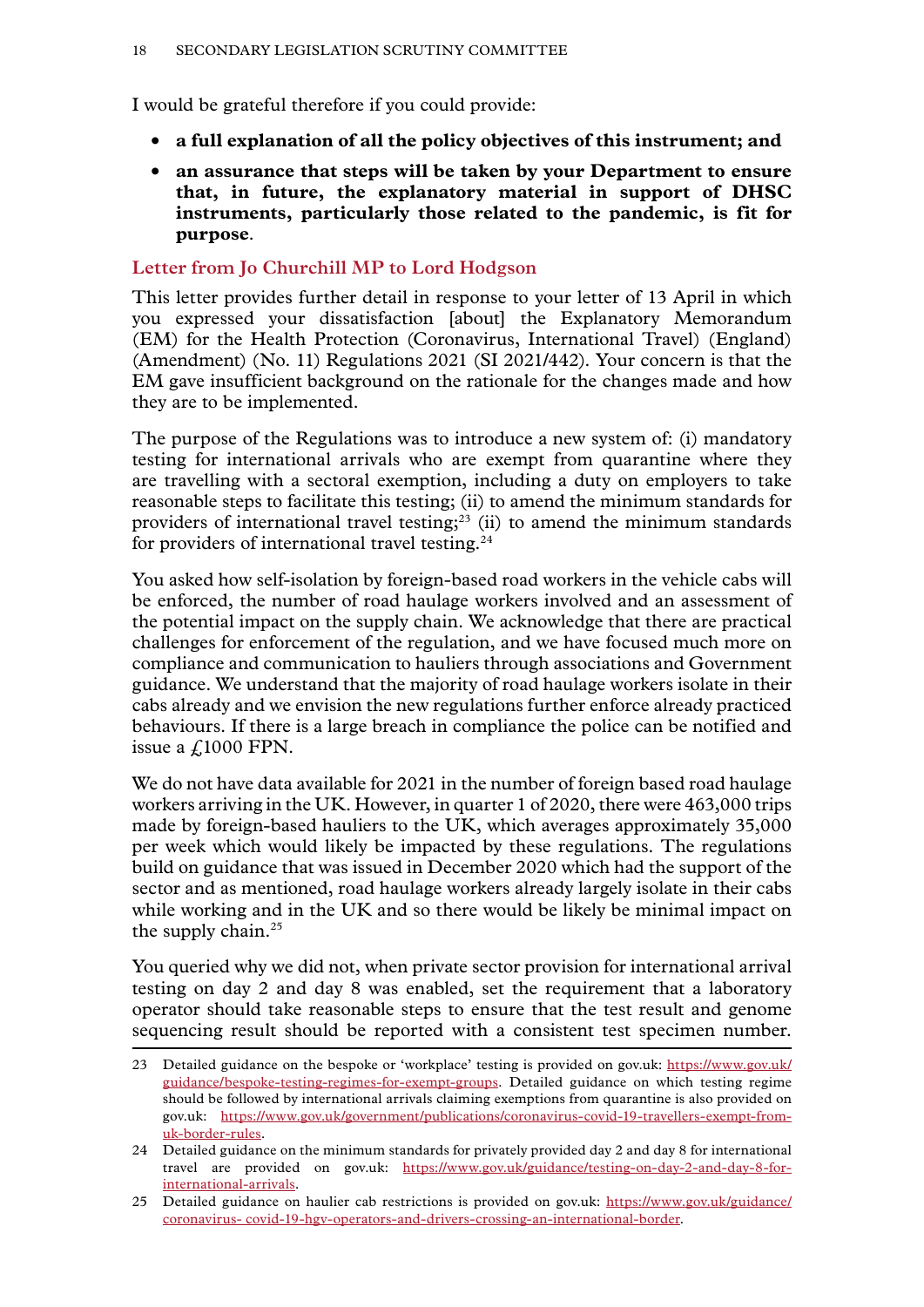I would be grateful therefore if you could provide:

- **a full explanation of all the policy objectives of this instrument; and**
- **an assurance that steps will be taken by your Department to ensure that, in future, the explanatory material in support of DHSC instruments, particularly those related to the pandemic, is fit for purpose**.

## **Letter from Jo Churchill MP to Lord Hodgson**

This letter provides further detail in response to your letter of 13 April in which you expressed your dissatisfaction [about] the Explanatory Memorandum (EM) for the Health Protection (Coronavirus, International Travel) (England) (Amendment) (No. 11) Regulations 2021 (SI 2021/442). Your concern is that the EM gave insufficient background on the rationale for the changes made and how they are to be implemented.

The purpose of the Regulations was to introduce a new system of: (i) mandatory testing for international arrivals who are exempt from quarantine where they are travelling with a sectoral exemption, including a duty on employers to take reasonable steps to facilitate this testing; (ii) to amend the minimum standards for providers of international travel testing; $23$  (ii) to amend the minimum standards for providers of international travel testing.24

You asked how self-isolation by foreign-based road workers in the vehicle cabs will be enforced, the number of road haulage workers involved and an assessment of the potential impact on the supply chain. We acknowledge that there are practical challenges for enforcement of the regulation, and we have focused much more on compliance and communication to hauliers through associations and Government guidance. We understand that the majority of road haulage workers isolate in their cabs already and we envision the new regulations further enforce already practiced behaviours. If there is a large breach in compliance the police can be notified and issue a  $\text{\textsterling}1000$  FPN.

We do not have data available for 2021 in the number of foreign based road haulage workers arriving in the UK. However, in quarter 1 of 2020, there were 463,000 trips made by foreign-based hauliers to the UK, which averages approximately 35,000 per week which would likely be impacted by these regulations. The regulations build on guidance that was issued in December 2020 which had the support of the sector and as mentioned, road haulage workers already largely isolate in their cabs while working and in the UK and so there would be likely be minimal impact on the supply chain. $25$ 

You queried why we did not, when private sector provision for international arrival testing on day 2 and day 8 was enabled, set the requirement that a laboratory operator should take reasonable steps to ensure that the test result and genome sequencing result should be reported with a consistent test specimen number.

<sup>23</sup> Detailed guidance on the bespoke or 'workplace' testing is provided on gov.uk: [https://www.gov.uk/](https://www.gov.uk/guidance/bespoke-testing-regimes-for-exempt-groups) [guidance/bespoke-testing-regimes-for-exempt-groups.](https://www.gov.uk/guidance/bespoke-testing-regimes-for-exempt-groups) Detailed guidance on which testing regime should be followed by international arrivals claiming exemptions from quarantine is also provided on gov.uk: https:[//www.gov.uk/government/publications/coronavirus-covid-19-travellers-exempt-from](http://www.gov.uk/government/publications/coronavirus-covid-19-travellers-exempt-from-uk-border-rules)[uk-border-rules](http://www.gov.uk/government/publications/coronavirus-covid-19-travellers-exempt-from-uk-border-rules).

<sup>24</sup> Detailed guidance on the minimum standards for privately provided day 2 and day 8 for international travel are provided on gov.uk: https:[//w](http://www.gov.uk/guidance/testing-on-day-2-and-day-8-for-international-arrivals)w[w.gov.uk/guidance/testing-on-day-2-and-day-8-for](http://www.gov.uk/guidance/testing-on-day-2-and-day-8-for-international-arrivals)[international-arrivals](http://www.gov.uk/guidance/testing-on-day-2-and-day-8-for-international-arrivals).

<sup>25</sup> Detailed guidance on haulier cab restrictions is provided on gov.uk: https:[//w](http://www.gov.uk/guidance/coronavirus-)w[w.gov.uk/guidance/](http://www.gov.uk/guidance/coronavirus-) [coronavirus-](http://www.gov.uk/guidance/coronavirus-) covid-19-hgv-operators-and-drivers-crossing-an-international-border.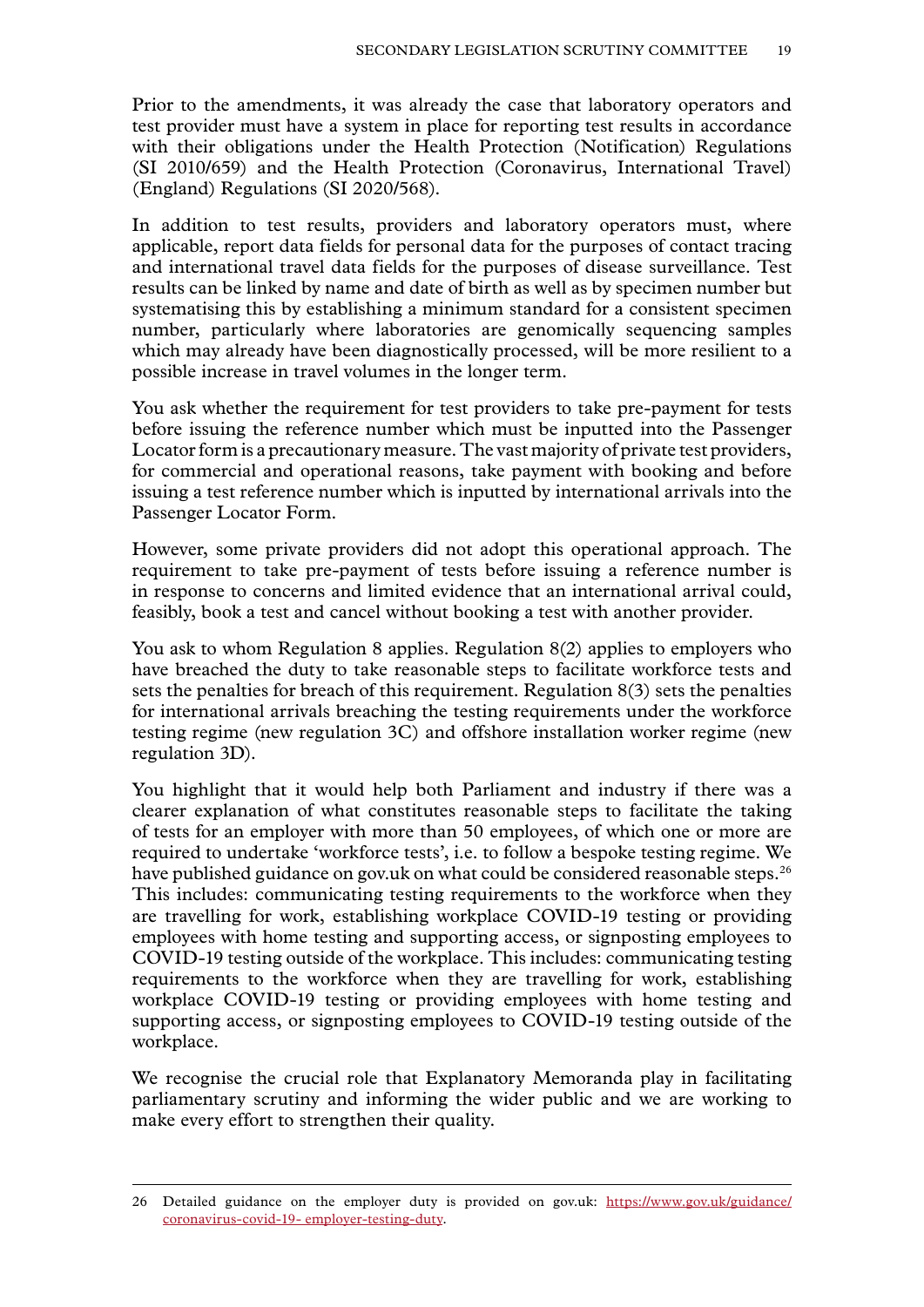Prior to the amendments, it was already the case that laboratory operators and test provider must have a system in place for reporting test results in accordance with their obligations under the Health Protection (Notification) Regulations (SI 2010/659) and the Health Protection (Coronavirus, International Travel) (England) Regulations (SI 2020/568).

In addition to test results, providers and laboratory operators must, where applicable, report data fields for personal data for the purposes of contact tracing and international travel data fields for the purposes of disease surveillance. Test results can be linked by name and date of birth as well as by specimen number but systematising this by establishing a minimum standard for a consistent specimen number, particularly where laboratories are genomically sequencing samples which may already have been diagnostically processed, will be more resilient to a possible increase in travel volumes in the longer term.

You ask whether the requirement for test providers to take pre-payment for tests before issuing the reference number which must be inputted into the Passenger Locator form is a precautionary measure. The vast majority of private test providers, for commercial and operational reasons, take payment with booking and before issuing a test reference number which is inputted by international arrivals into the Passenger Locator Form.

However, some private providers did not adopt this operational approach. The requirement to take pre-payment of tests before issuing a reference number is in response to concerns and limited evidence that an international arrival could, feasibly, book a test and cancel without booking a test with another provider.

You ask to whom Regulation 8 applies. Regulation 8(2) applies to employers who have breached the duty to take reasonable steps to facilitate workforce tests and sets the penalties for breach of this requirement. Regulation 8(3) sets the penalties for international arrivals breaching the testing requirements under the workforce testing regime (new regulation 3C) and offshore installation worker regime (new regulation 3D).

You highlight that it would help both Parliament and industry if there was a clearer explanation of what constitutes reasonable steps to facilitate the taking of tests for an employer with more than 50 employees, of which one or more are required to undertake 'workforce tests', i.e. to follow a bespoke testing regime. We have published guidance on gov.uk on what could be considered reasonable steps.<sup>26</sup> This includes: communicating testing requirements to the workforce when they are travelling for work, establishing workplace COVID-19 testing or providing employees with home testing and supporting access, or signposting employees to COVID-19 testing outside of the workplace. This includes: communicating testing requirements to the workforce when they are travelling for work, establishing workplace COVID-19 testing or providing employees with home testing and supporting access, or signposting employees to COVID-19 testing outside of the workplace.

We recognise the crucial role that Explanatory Memoranda play in facilitating parliamentary scrutiny and informing the wider public and we are working to make every effort to strengthen their quality.

<sup>26</sup> Detailed guidance on the employer duty is provided on gov.uk: https:[//w](http://www.gov.uk/guidance/coronavirus-covid-19-)w[w.gov.uk/guidance/](http://www.gov.uk/guidance/coronavirus-covid-19-) [coronavirus-covid-19-](http://www.gov.uk/guidance/coronavirus-covid-19-) employer-testing-duty.